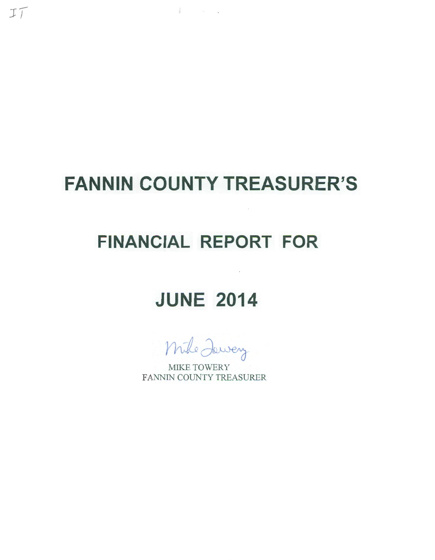# **FANNIN COUNTY TREASURER'S**

 $\mathbb{I}$  and  $\mathbb{I}$ 

 $IT$ 

## **FINANCIAL REPORT FOR**

# **JUNE 2014**

Mike Jaway

MIKE TOWERY FANNIN COUNTY TREASURER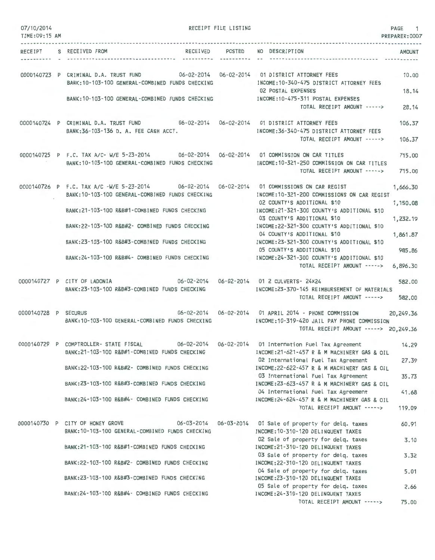| 07/10/2014<br>TIME:09:15 AM |                                                                                                                                                 | RECEIPT FILE LISTING | PAGE<br>PREPARER: 0007                                                                             | 1     |
|-----------------------------|-------------------------------------------------------------------------------------------------------------------------------------------------|----------------------|----------------------------------------------------------------------------------------------------|-------|
|                             | RECEIPT S RECEIVED FROM                                                                                                                         |                      | RECEIVED POSTED NO DESCRIPTION<br><b>AMOUNT</b>                                                    |       |
|                             |                                                                                                                                                 | ----------           |                                                                                                    |       |
|                             | 0000140723 P CRIMINAL D.A. TRUST FUND 06-02-2014 06-02-2014 01 DISTRICT ATTORNEY FEES                                                           |                      |                                                                                                    | 10.00 |
|                             | BANK: 10-103-100 GENERAL-COMBINED FUNDS CHECKING                                                                                                |                      | INCOME: 10-340-475 DISTRICT ATTORNEY FEES<br>18.14<br>02 POSTAL EXPENSES                           |       |
|                             | BANK: 10-103-100 GENERAL-COMBINED FUNDS CHECKING                                                                                                |                      | INCOME:10-475-311 POSTAL EXPENSES<br>TOTAL RECEIPT AMOUNT -----> 28.14                             |       |
|                             | 0000140724 P CRIMINAL D.A. TRUST FUND 06-02-2014 06-02-2014 01 DISTRICT ATTORNEY FEES                                                           |                      | 106.37                                                                                             |       |
|                             | BANK:36-103-136 D. A. FEE CASH ACCT.                                                                                                            |                      | INCOME: 36-340-475 DISTRICT ATTORNEY FEES                                                          |       |
|                             |                                                                                                                                                 |                      | TOTAL RECEIPT AMOUNT -----><br>106.37                                                              |       |
|                             | 0000140725 P F.C. TAX A/C- W/E 5-23-2014 06-02-2014 06-02-2014 01 COMMISSION ON CAR TITLES                                                      |                      | 715.00                                                                                             |       |
|                             | BANK: 10-103-100 GENERAL-COMBINED FUNDS CHECKING                                                                                                |                      | INCOME: 10-321-250 COMMISSION ON CAR TITLES<br>TOTAL RECEIPT AMOUNT -----><br>715.00               |       |
|                             | 0000140726 P F.C. TAX A/C -W/E 5-23-2014 06-02-2014 06-02-2014 01 COMMISSIONS ON CAR REGIST                                                     |                      | 1,666.30                                                                                           |       |
|                             | BANK: 10-103-100 GENERAL-COMBINED FUNDS CHECKING                                                                                                |                      | INCOME:10-321-200 COMMISSIONS ON CAR REGIST<br>02 COUNTY'S ADDITIONAL \$10<br>1,150,08             |       |
|                             | BANK:21-103-100 R&B#1-COMBINED FUNDS CHECKING                                                                                                   |                      | INCOME:21-321-300 COUNTY'S ADDITIONAL \$10<br>03 COUNTY'S ADDITIONAL \$10<br>1,232.19              |       |
|                             | BANK:22-103-100 R&B#2- COMBINED FUNDS CHECKING MANUSIC INCOME:22-321-300 COUNTY'S ADDITIONAL \$10                                               |                      | 04 COUNTY'S ADDITIONAL \$10<br>1,861.87                                                            |       |
|                             | BANK:23-103-100 R&B#3-COMBINED FUNDS CHECKING                                                                                                   |                      | INCOME: 23-321-300 COUNTY'S ADDITIONAL \$10<br>05 COUNTY'S ADDITIONAL \$10<br>985.86               |       |
|                             | BANK:24-103-100 R&B#4- COMBINED FUNDS CHECKING                                                                                                  |                      | INCOME: 24-321-300 COUNTY'S ADDITIONAL \$10                                                        |       |
|                             |                                                                                                                                                 |                      | TOTAL RECEIPT AMOUNT -----><br>6,896.30                                                            |       |
|                             | 0000140727 P CITY OF LADONIA 66-02-2014 06-02-2014 01 2 CULVERTS- 24X24<br>BANK:23-103-100 R&B#3-COMBINED FUNDS CHECKING                        |                      | 582.00<br>INCOME:23-370-145 REIMBURSEMENT OF MATERIALS                                             |       |
|                             |                                                                                                                                                 |                      | TOTAL RECEIPT AMOUNT -----><br>582.00                                                              |       |
| 0000140728 P SECURUS        | BANK: 10-103-100 GENERAL-COMBINED FUNDS CHECKING                                                                                                |                      | 20,249.36                                                                                          |       |
|                             |                                                                                                                                                 |                      | INCOME:10-319-420 JAIL PAY PHONE COMMISSION<br>TOTAL RECEIPT AMOUNT -----> 20,249.36               |       |
|                             | 0000140729 P COMPTROLLER- STATE FISCAL 06-02-2014 06-02-2014 01 Internation Fuel Tax Agreement<br>BANK:21-103-100 R&B#1-COMBINED FUNDS CHECKING |                      | 14.29<br>INCOME: 21-621-457 R & M MACHINERY GAS & OIL                                              |       |
|                             |                                                                                                                                                 |                      | 02 International Fuel Tax Agreement                                                                | 27.39 |
|                             | BANK:22-103-100 R&B#2- COMBINED FUNDS CHECKING                                                                                                  |                      | INCOME:22-622-457 R & M MACHINERY GAS & OIL<br>03 International Fuel Tax Agreement                 | 35.73 |
|                             | BANK:23-103-100 R&B#3-COMBINED FUNDS CHECKING                                                                                                   |                      | INCOME:23-623-457 R & M MACHINERY GAS & OIL<br>04 International Fuel Tax Agreement                 | 41.68 |
|                             | BANK: 24-103-100 R&B#4- COMBINED FUNDS CHECKING                                                                                                 |                      | INCOME: 24-624-457 R & M MACHINERY GAS & OIL<br>TOTAL RECEIPT AMOUNT -----><br>119.09              |       |
|                             |                                                                                                                                                 |                      |                                                                                                    |       |
|                             | 0000140730 P CITY OF HONEY GROVE<br>BANK: 10-103-100 GENERAL-COMBINED FUNDS CHECKING                                                            |                      | 06-03-2014  06-03-2014  01 Sale of property for delg. taxes<br>INCOME: 10-310-120 DELINQUENT TAXES | 60.91 |
|                             | BANK: 21-103-100 R&B#1-COMBINED FUNDS CHECKING                                                                                                  |                      | 02 Sale of property for delg. taxes<br>INCOME: 21-310-120 DELINQUENT TAXES                         | 3.10  |
|                             | BANK:22-103-100 R&B#2- COMBINED FUNDS CHECKING                                                                                                  |                      | 03 Sale of property for delg. taxes<br>INCOME: 22-310-120 DELINQUENT TAXES                         | 3.32  |
|                             | BANK:23-103-100 R&B#3-COMBINED FUNDS CHECKING                                                                                                   |                      | 04 Sale of property for deig. taxes<br>INCOME: 23-310-120 DELINQUENT TAXES                         | 5.01  |
|                             |                                                                                                                                                 |                      | 05 Sale of property for delq. taxes                                                                | 2.66  |
|                             | BANK:24-103-100 R&B#4- COMBINED FUNDS CHECKING                                                                                                  |                      | INCOME: 24-310-120 DELINQUENT TAXES<br>TOTAL RECEIPT AMOUNT ----->                                 | 75.00 |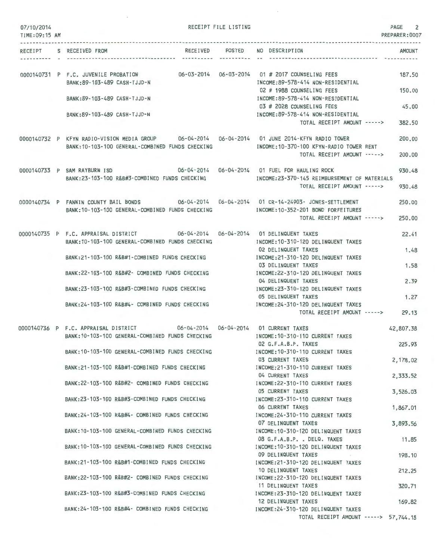| 07/10/2014<br>TIME: 09:15 AM |                                                                                                                                                  | RECEIPT FILE LISTING |                                                                                                   | PAGE<br>2<br>PREPARER: 0007   |
|------------------------------|--------------------------------------------------------------------------------------------------------------------------------------------------|----------------------|---------------------------------------------------------------------------------------------------|-------------------------------|
|                              | RECEIPT S RECEIVED FROM                                                                                                                          |                      | RECEIVED POSTED NO DESCRIPTION                                                                    | <b>AMOUNT</b><br>------------ |
|                              | 0000140731 P F.C. JUVENILE PROBATION 06-03-2014 06-03-2014 01 # 2017 COUNSELING FEES<br>BANK: 89-103-489 CASH-TJJD-N                             |                      | INCOME:89-578-414 NON-RESIDENTIAL                                                                 | 187.50                        |
|                              | BANK: 89-103-489 CASH-TJJD-N                                                                                                                     |                      | 02 # 1988 COUNSELING FEES<br>INCOME:89-578-414 NON-RESIDENTIAL                                    | 150.00                        |
|                              | BANK:89-103-489 CASH-TJJD-N                                                                                                                      |                      | 03 # 2028 COUNSELING FEES<br>INCOME: 89-578-414 NON-RESIDENTIAL<br>TOTAL RECEIPT AMOUNT ----->    | 45,00<br>382.50               |
|                              | 0000140732 P KFYN RADIO-VISION MEDIA GROUP 06-04-2014 06-04-2014 01 JUNE 2014-KFYN RADIO TOWER                                                   |                      |                                                                                                   | 200,00                        |
|                              | BANK:10-103-100 GENERAL-COMBINED FUNDS CHECKING                                                                                                  |                      | INCOME:10-370-100 KFYN-RADIO TOWER RENT<br>TOTAL RECEIPT AMOUNT ----->                            | 200,00                        |
|                              | 0000140733 P SAM RAYBURN ISD 06-04-2014 06-04-2014 01 FUEL FOR HAULING ROCK                                                                      |                      |                                                                                                   |                               |
|                              | BANK:23-103-100 R&B#3-COMBINED FUNDS CHECKING                                                                                                    |                      | INCOME:23-370-145 REIMBURSEMENT OF MATERIALS<br>TOTAL RECEIPT AMOUNT ----->                       | 930.48<br>930.48              |
|                              | 0000140734 P FANNIN COUNTY BAIL BONDS 06-04-2014 06-04-2014 01 CR-14-24903- JONES-SETTLEMENT<br>BANK: 10-103-100 GENERAL-COMBINED FUNDS CHECKING |                      | INCOME: 10-352-201 BOND FORFEITURES                                                               | 250.00                        |
|                              |                                                                                                                                                  |                      | TOTAL RECEIPT AMOUNT ----->                                                                       | 250,00                        |
|                              | 0000140735 P F.C. APPRAISAL DISTRICT 606-04-2014 06-04-2014 01 DELINQUENT TAXES<br>BANK:10-103-100 GENERAL-COMBINED FUNDS CHECKING               |                      | INCOME: 10-310-120 DELINQUENT TAXES                                                               | 22.41                         |
|                              | BANK:21-103-100 R&B#1-COMBINED FUNDS CHECKING                                                                                                    |                      | 02 DELINQUENT TAXES<br>INCOME: 21-310-120 DELINQUENT TAXES                                        | 1.48                          |
|                              | BANK:22-103-100 R&B#2- COMBINED FUNDS CHECKING                                                                                                   |                      | 03 DELINQUENT TAXES<br>INCOME: 22-310-120 DELINQUENT TAXES                                        | 1.58                          |
|                              | BANK:23-103-100 R&B#3-COMBINED FUNDS CHECKING                                                                                                    |                      | 04 DELINQUENT TAXES<br>INCOME: 23-310-120 DELINQUENT TAXES                                        | 2.39                          |
|                              |                                                                                                                                                  |                      | 05 DELINQUENT TAXES                                                                               | 1.27                          |
|                              | BANK:24-103-100 R&B#4- COMBINED FUNDS CHECKING                                                                                                   |                      | INCOME: 24-310-120 DELINQUENT TAXES<br>TOTAL RECEIPT AMOUNT ----->                                | 29.13                         |
|                              | 0000140736 P F.C. APPRAISAL DISTRICT 66-04-2014 06-04-2014 01 CURRENT TAXES<br>BANK: 10-103-100 GENERAL-COMBINED FUNDS CHECKING                  |                      | INCOME: 10-310-110 CURRENT TAXES                                                                  | 42,807.38                     |
|                              | BANK: 10-103-100 GENERAL-COMBINED FUNDS CHECKING                                                                                                 |                      | 02 G.F.A.B.P. TAXES<br>INCOME: 10-310-110 CURRENT TAXES                                           | 225.93                        |
|                              | BANK:21-103-100 R&B#1-COMBINED FUNDS CHECKING                                                                                                    |                      | 03 CURRENT TAXES<br>INCOME: 21-310-110 CURRENT TAXES                                              | 2,178.02                      |
|                              | BANK:22-103-100 R&B#2- COMBINED FUNDS CHECKING                                                                                                   |                      | 04 CURRENT TAXES<br>INCOME: 22-310-110 CURRENT TAXES                                              | 2,333.52                      |
|                              | BANK:23-103-100 R&B#3-COMBINED FUNDS CHECKING                                                                                                    |                      | 05 CURRENT TAXES<br>INCOME: 23-310-110 CURRENT TAXES                                              | 3,526.03                      |
|                              | BANK: 24-103-100 R&B#4- COMBINED FUNDS CHECKING                                                                                                  |                      | 06 CURRENT TAXES<br>INCOME: 24-310-110 CURRENT TAXES                                              | 1,867.01                      |
|                              |                                                                                                                                                  |                      | 07 DELINQUENT TAXES                                                                               | 3,893.56                      |
|                              | BANK: 10-103-100 GENERAL-COMBINED FUNDS CHECKING                                                                                                 |                      | INCOME: 10-310-120 DELINQUENT TAXES<br>08 G.F.A.B.P. . DELQ. TAXES                                | 11.85                         |
|                              | BANK: 10-103-100 GENERAL-COMBINED FUNDS CHECKING                                                                                                 |                      | INCOME: 10-310-120 DELINQUENT TAXES<br>09 DELINQUENT TAXES                                        | 198,10                        |
|                              | BANK:21-103-100 R&B#1-COMBINED FUNDS CHECKING<br>BANK:22-103-100 R&B#2- COMBINED FUNDS CHECKING                                                  |                      | INCOME: 21-310-120 DELINQUENT TAXES<br>10 DELINQUENT TAXES<br>INCOME: 22-310-120 DELINQUENT TAXES | 212.25                        |
|                              |                                                                                                                                                  |                      | 11 DELINQUENT TAXES                                                                               | 320.71                        |
|                              | BANK:23-103-100 R&B#3-COMBINED FUNDS CHECKING                                                                                                    |                      | INCOME: 23-310-120 DELINQUENT TAXES<br>12 DELINQUENT TAXES                                        | 169.82                        |
|                              | BANK:24-103-100 R&B#4- COMBINED FUNDS CHECKING                                                                                                   |                      | INCOME: 24-310-120 DELINQUENT TAXES<br>TOTAL RECEIPT AMOUNT -----> 57,744.18                      |                               |

 $\overline{\phantom{a}}$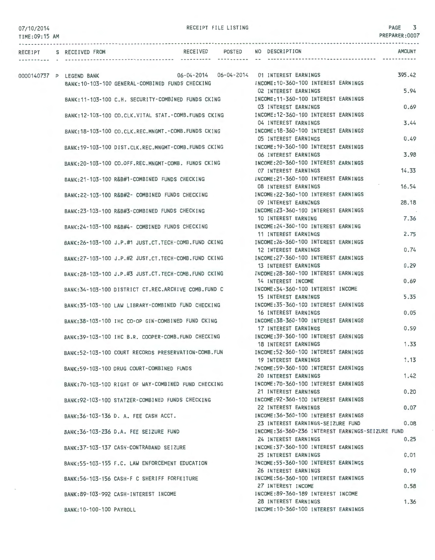| 07/10/2014    |                          |                                                                                                            | RECEIPT FILE LISTING |                                                                                                      | PAGE 3<br>PREPARER:0007 |
|---------------|--------------------------|------------------------------------------------------------------------------------------------------------|----------------------|------------------------------------------------------------------------------------------------------|-------------------------|
| TIME:09:15 AM |                          |                                                                                                            |                      |                                                                                                      |                         |
|               | RECEIPT S RECEIVED FROM  | RECEIVED POSTED                                                                                            |                      | NO DESCRIPTION                                                                                       | <b>AMOUNT</b>           |
|               | 0000140737 P LEGEND BANK | BANK: 10-103-100 GENERAL-COMBINED FUNDS CHECKING                                                           |                      | INCOME:10-360-100 INTEREST EARNINGS                                                                  | 395.42                  |
|               |                          | BANK:11-103-100 C.H. SECURITY-COMBINED FUNDS CKING MODE:11-360-100 INTEREST EARNINGS                       |                      | 02 INTEREST EARNINGS                                                                                 | 5.94                    |
|               |                          | BANK:12-103-100 CO.CLK.VITAL STAT.-COMB.FUNDS CKING                                                        |                      | 03 INTEREST EARNINGS<br>INCOME:12-360-100 INTEREST EARNINGS<br>04 INTEREST EARNINGS                  | 0.69<br>3.44            |
|               |                          | BANK: 18-103-100 CO.CLK.REC.MNGMT.-COMB.FUNDS CKING                                                        |                      | INCOME: 18-360-100 INTEREST EARNINGS<br>05 INTEREST EARNINGS                                         | 0.49                    |
|               |                          | BANK: 19-103-100 DIST.CLK.REC.MNGMT-COMB.FUNDS CKING                                                       |                      | INCOME: 19-360-100 INTEREST EARNINGS<br>06 INTEREST EARNINGS                                         | 3.98                    |
|               |                          | BANK:20-103-100 CO.OFF.REC.MNGMT-COMB. FUNDS CKING                                                         |                      | INCOME: 20-360-100 INTEREST EARNINGS<br>07 INTEREST EARNINGS                                         | 14.33                   |
|               |                          | BANK:21-103-100 R&B#1-COMBINED FUNDS CHECKING                                                              |                      | INCOME:21-360-100 INTEREST EARNINGS<br>08 INTEREST EARNINGS                                          | 16.54                   |
|               |                          | BANK:22-103-100 R&B#2- COMBINED FUNDS CHECKING                                                             |                      | INCOME: 22-360-100 INTEREST EARNINGS<br>09 INTEREST EARNINGS                                         | 28.18                   |
|               |                          | BANK:23-103-100 R&B#3-COMBINED FUNDS CHECKING                                                              |                      | INCOME:23-360-100 INTEREST EARNINGS<br>10 INTEREST EARNING                                           | 7.36                    |
|               |                          | BANK:24-103-100 R&B#4- COMBINED FUNDS CHECKING                                                             |                      | INCOME: 24-360-100 INTEREST EARNING<br>11 INTEREST EARNINGS                                          | 2.75                    |
|               |                          | BANK:26-103-100 J.P.#1 JUST.CT.TECH-COMB.FUND CKING                                                        |                      | INCOME: 26-360-100 INTEREST EARNINGS<br>12 INTEREST EARNINGS                                         | 0.74                    |
|               |                          | BANK:27-103-100 J.P.#2 JUST.CT.TECH-COMB.FUND CKING<br>BANK:28-103-100 J.P.#3 JUST.CT.TECH-COMB.FUND CKING |                      | INCOME: 27-360-100 INTEREST EARNINGS<br>13 INTEREST EARNINGS<br>INCOME: 28-360-100 INTEREST EARNINGS | 0.29                    |
|               |                          | BANK: 34-103-100 DISTRICT CT.REC.ARCHIVE COMB. FUND C                                                      |                      | 14 INTEREST INCOME<br>INCOME: 34-360-100 INTEREST INCOME                                             | 0.69                    |
|               |                          | BANK:35-103-100 LAW LIBRARY-COMBINED FUND CHECKING                                                         |                      | 15 INTEREST EARNINGS<br>INCOME: 35-360-100 INTEREST EARNINGS                                         | 5.35                    |
|               |                          | BANK:38-103-100 IHC CO-OP GIN-COMBINED FUND CKING                                                          |                      | 16 INTEREST EARNINGS<br>INCOME: 38-360-100 INTEREST EARNINGS                                         | 0.05                    |
|               |                          | BANK:39-103-100 IHC B.R. COOPER-COMB.FUND CHECKING                                                         |                      | 17 INTEREST EARNINGS<br>INCOME: 39-360-100 INTEREST EARNINGS                                         | 0.59                    |
|               |                          | BANK:52-103-100 COURT RECORDS PRESERVATION-COMB.FUN                                                        |                      | 18 INTEREST EARNINGS<br>INCOME:52-360-100 INTEREST EARNINGS                                          | 1.33                    |
|               |                          | BANK:59-103-100 DRUG COURT-COMBINED FUNDS                                                                  |                      | <b>19 INTEREST EARNINGS</b><br>INCOME: 59-360-100 INTEREST EARNINGS                                  | 1.13                    |
|               |                          | BANK:70-103-100 RIGHT OF WAY-COMBINED FUND CHECKING                                                        |                      | 20 INTEREST EARNINGS<br>INCOME: 70-360-100 INTEREST EARNINGS                                         | 1.42                    |
|               |                          | BANK:92-103-100 STATZER-COMBINED FUNDS CHECKING                                                            |                      | 21 INTEREST EARNINGS<br>INCOME: 92-360-100 INTEREST EARNINGS<br>22 INTEREST EARNINGS                 | 0.20<br>0.07            |
|               |                          | BANK: 36-103-136 D. A. FEE CASH ACCT.                                                                      |                      | INCOME: 36-360-100 INTEREST EARNINGS<br>23 INTEREST EARNINGS-SEIZURE FUND                            | 0.08                    |
|               |                          | BANK: 36-103-236 D.A. FEE SEIZURE FUND                                                                     |                      | INCOME: 36-360-236 INTEREST EARNINGS-SEIZURE FUND<br>24 INTEREST EARNINGS                            | 0.25                    |
|               |                          | BANK: 37-103-137 CASH-CONTRABAND SEIZURE                                                                   |                      | INCOME: 37-360-100 INTEREST EARNINGS<br>25 INTEREST EARNINGS                                         | 0.01                    |
|               |                          | BANK:55-103-155 F.C. LAW ENFORCEMENT EDUCATION                                                             |                      | INCOME: 55-360-100 INTEREST EARNINGS<br>26 INTEREST EARNINGS                                         | 0.19                    |
|               |                          | BANK: 56-103-156 CASH-F C SHERIFF FORFEITURE                                                               |                      | INCOME: 56-360-100 INTEREST EARNINGS<br>27 INTEREST INCOME                                           | 0.58                    |
|               |                          | BANK: 89-103-992 CASH-INTEREST INCOME                                                                      |                      | INCOME:89-360-189 INTEREST INCOME<br>28 INTEREST EARNINGS                                            | 1.36                    |
|               | BANK: 10-100-100 PAYROLL |                                                                                                            |                      | INCOME: 10-360-100 INTEREST EARNINGS                                                                 |                         |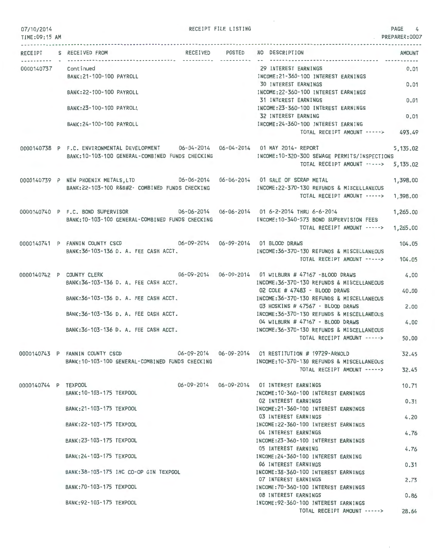RECEIPT FILE LISTING  $\begin{bmatrix} 4 & 0 \\ 0 & 4 \end{bmatrix}$ 

|                      | RECEIPT S RECEIVED FROM                                                                                                             | ----------- ---------- -- | RECEIVED POSTED NO DESCRIPTION                                                                                                 | AMOUNT<br>--------- |
|----------------------|-------------------------------------------------------------------------------------------------------------------------------------|---------------------------|--------------------------------------------------------------------------------------------------------------------------------|---------------------|
| 0000140737 Continued |                                                                                                                                     |                           | 29 INTEREST EARNINGS                                                                                                           | 0.01                |
|                      | BANK: 21-100-100 PAYROLL                                                                                                            |                           | INCOME: 21-360-100 INTEREST EARNINGS<br><b>30 INTEREST EARNINGS</b>                                                            | 0.01                |
|                      | BANK: 22-100-100 PAYROLL                                                                                                            |                           | INCOME: 22-360-100 INTEREST EARNINGS                                                                                           |                     |
|                      |                                                                                                                                     |                           | 31 INTEREST EARNINGS<br>INCOME: 23-360-100 INTEREST EARNINGS                                                                   | 0.01                |
|                      | BANK: 23-100-100 PAYROLL                                                                                                            |                           | 32 INTEREST EARNING                                                                                                            | 0.01                |
|                      | BANK: 24-100-100 PAYROLL                                                                                                            |                           | INCOME: 24-360-100 INTEREST EARNING                                                                                            |                     |
|                      |                                                                                                                                     |                           | TOTAL RECEIPT AMOUNT -----> 493.49                                                                                             |                     |
|                      | 0000140738 P F.C. ENVIRONMENTAL DEVELOPMENT 06-04-2014 06-04-2014 01 MAY 2014- REPORT                                               |                           |                                                                                                                                | 5,135.02            |
|                      | BANK:10-103-100 GENERAL-COMBINED FUNDS CHECKING                                                                                     |                           | INCOME:10-320-300 SEWAGE PERMITS/INSPECTIONS<br>TOTAL RECEIPT AMOUNT -----> 5,135.02                                           |                     |
|                      |                                                                                                                                     |                           |                                                                                                                                |                     |
|                      | 0000140739 P NEW PHOENIX METALS, LTD 06-06-2014 06-06-2014 01 SALE OF SCRAP METAL<br>BANK:22-103-100 R&B#2- COMBINED FUNDS CHECKING |                           | INCOME:22-370-130 REFUNDS & MISCELLANEOUS                                                                                      | 1,398.00            |
|                      |                                                                                                                                     |                           | TOTAL RECEIPT AMOUNT ----->                                                                                                    | 1,398.00            |
|                      | 0000140740 P F.C. BOND SUPERVISOR 06-06-2014 06-06-2014 01 6-2-2014 THRU 6-6-2014                                                   |                           |                                                                                                                                | 1,265.00            |
|                      | BANK: 10-103-100 GENERAL-COMBINED FUNDS CHECKING                                                                                    |                           | INCOME:10-340-573 BOND SUPERVISION FEES<br>TOTAL RECEIPT AMOUNT ----->                                                         | 1,265,00            |
|                      |                                                                                                                                     |                           |                                                                                                                                |                     |
|                      | 0000140741 P FANNIN COUNTY CSCD 06-09-2014 06-09-2014 01 BLOOD DRAWS<br>BANK: 36-103-136 D. A. FEE CASH ACCT.                       |                           | INCOME: 36-370-130 REFUNDS & MISCELLANEOUS                                                                                     | 104.05              |
|                      |                                                                                                                                     |                           | TOTAL RECEIPT AMOUNT -----> 104.05                                                                                             |                     |
|                      | 0000140742 P COUNTY CLERK 0 06-09-2014 06-09-2014 01 WILBURN # 47167 -BLOOD DRAWS                                                   |                           |                                                                                                                                | 4.00                |
|                      | BANK: 36-103-136 D. A. FEE CASH ACCT.                                                                                               |                           | INCOME: 36-370-130 REFUNDS & MISCELLANEOUS                                                                                     |                     |
|                      | BANK: 36-103-136 D. A. FEE CASH ACCT.                                                                                               |                           | 02 COLE # 47483 - BLOOD DRAWS<br>INCOME: 36-370-130 REFUNDS & MISCELLANEOUS                                                    | 40.00               |
|                      |                                                                                                                                     |                           | 03 HOSKINS # 47567 - BLOOD DRAWS                                                                                               | 2,00                |
|                      | BANK: 36-103-136 D. A. FEE CASH ACCT.                                                                                               |                           | INCOME: 36-370-130 REFUNDS & MISCELLANEOUS<br>04 WILBURN # 47167 - BLOOD DRAWS                                                 | 4,00                |
|                      | BANK: 36-103-136 D. A. FEE CASH ACCT.                                                                                               |                           | INCOME: 36-370-130 REFUNDS & MISCELLANEOUS                                                                                     |                     |
|                      |                                                                                                                                     |                           | TOTAL RECEIPT AMOUNT ----->                                                                                                    | 50.00               |
|                      | 0000140743 P FANNIN COUNTY CSCD 06-09-2014 06-09-2014 01 RESTITUTION # 19729-ARNOLD                                                 |                           |                                                                                                                                | 32.45               |
|                      |                                                                                                                                     |                           | BANK:10-103-100 GENERAL-COMBINED FUNDS CHECKING NORTH INCOME:10-370-130 REFUNDS & MISCELLANEOUS<br>TOTAL RECEIPT AMOUNT -----> | 32.45               |
|                      |                                                                                                                                     |                           |                                                                                                                                |                     |
| 0000140744 P TEXPOOL |                                                                                                                                     |                           | 06-09-2014   06-09-2014   01 INTEREST EARNINGS<br>INCOME: 10-360-100 INTEREST EARNINGS                                         | 10.71               |
|                      | BANK: 10-103-175 TEXPOOL                                                                                                            |                           | 02 INTEREST EARNINGS                                                                                                           | 0.31                |
|                      | BANK: 21-103-175 TEXPOOL                                                                                                            |                           | INCOME:21-360-100 INTEREST EARNINGS                                                                                            |                     |
|                      | BANK: 22-103-175 TEXPOOL                                                                                                            |                           | 03 INTEREST EARNINGS<br>INCOME: 22-360-100 INTEREST EARNINGS                                                                   | 4.20                |
|                      |                                                                                                                                     |                           | 04 INTEREST EARNINGS                                                                                                           | 4.76                |
|                      | BANK: 23-103-175 TEXPOOL                                                                                                            |                           | INCOME: 23-360-100 INTEREST EARNINGS<br><b>05 INTEREST EARNING</b>                                                             | 4.76                |
|                      | BANK: 24-103-175 TEXPOOL                                                                                                            |                           | INCOME:24-360-100 INTEREST EARNING                                                                                             |                     |
|                      | BANK: 38-103-175 IHC CO-OP GIN TEXPOOL                                                                                              |                           | 06 INTEREST EARNINGS<br>INCOME: 38-360-100 INTEREST EARNINGS                                                                   | 0.31                |
|                      |                                                                                                                                     |                           | 07 INTEREST EARNINGS                                                                                                           | 2.73                |
|                      | BANK: 70-103-175 TEXPOOL                                                                                                            |                           | INCOME: 70-360-100 INTEREST EARNINGS<br>08 INTEREST EARNINGS                                                                   | 0.86                |
|                      | BANK: 92-103-175 TEXPOOL                                                                                                            |                           | INCOME: 92-360-100 INTEREST EARNINGS                                                                                           |                     |
|                      |                                                                                                                                     |                           | TOTAL RECEIPT AMOUNT ----->                                                                                                    | 28.64               |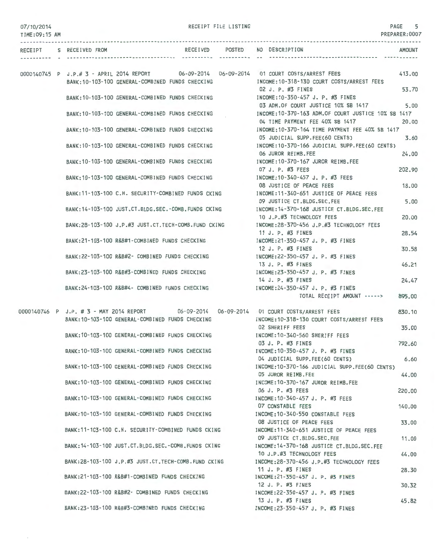$\sim$ 

RECEIPT FILE LISTING PAGE

| 0111016014<br>TIME: 09:15 AM |                         |                                                                                                 |                |                                                                                                                                         | PREPARER: 0007  |
|------------------------------|-------------------------|-------------------------------------------------------------------------------------------------|----------------|-----------------------------------------------------------------------------------------------------------------------------------------|-----------------|
|                              | RECEIPT S RECEIVED FROM |                                                                                                 | ----------- -- | RECEIVED POSTED NO DESCRIPTION                                                                                                          | <b>AMOUNT</b>   |
|                              |                         | BANK: 10-103-100 GENERAL-COMBINED FUNDS CHECKING                                                |                | 0000140745 P J.P.# 3 - APRIL 2014 REPORT 06-09-2014 06-09-2014 01 COURT COSTS/ARREST FEES<br>INCOME: 10-318-130 COURT COSTS/ARREST FEES | 413.00          |
|                              |                         | BANK:10-103-100 GENERAL-COMBINED FUNDS CHECKING                                                 |                | 02 J. P. #3 FINES<br>INCOME:10-350-457 J. P. #3 FINES                                                                                   | 53.70           |
|                              |                         | BANK: 10-103-100 GENERAL-COMBINED FUNDS CHECKING                                                |                | 03 ADM.OF COURT JUSTICE 10% SB 1417<br>INCOME: 10-370-163 ADM. OF COURT JUSTICE 10% SB 1417                                             | 5.00            |
|                              |                         | BANK:10-103-100 GENERAL-COMBINED FUNDS CHECKING                                                 |                | 04 TIME PAYMENT FEE 40% SB 1417<br>INCOME: 10-370-164 TIME PAYMENT FEE 40% SB 1417                                                      | 20,00           |
|                              |                         | BANK:10-103-100 GENERAL-COMBINED FUNDS CHECKING                                                 |                | 05 JUDICIAL SUPP.FEE(60 CENTS)<br>INCOME:10-370-166 JUDICIAL SUPP.FEE(60 CENTS)<br>06 JUROR REIMB.FEE                                   | 3.60<br>24.00   |
|                              |                         | BANK: 10-103-100 GENERAL-COMBINED FUNDS CHECKING                                                |                | INCOME: 10-370-167 JUROR REIMB.FEE<br>07 J. P. #3 FEES                                                                                  | 202.90          |
|                              |                         | BANK: 10-103-100 GENERAL-COMBINED FUNDS CHECKING                                                |                | INCOME:10-340-457 J. P. #3 FEES<br>08 JUSTICE OF PEACE FEES                                                                             | 18.00           |
|                              |                         | BANK: 11-103-100 C.H. SECURITY-COMBINED FUNDS CKING                                             |                | INCOME:11-340-651 JUSTICE OF PEACE FEES<br>09 JUSTICE CT.BLDG.SEC.FEE                                                                   | 5.00            |
|                              |                         | BANK:14-103-100 JUST.CT.BLDG.SEC.-COMB.FUNDS CKING                                              |                | INCOME: 14-370-168 JUSTICE CT.BLDG.SEC.FEE<br>10 J.P.#3 TECHNOLOGY FEES                                                                 | 20,00           |
|                              |                         | BANK:28-103-100 J.P.#3 JUST.CT.TECH-COMB.FUND CKING                                             |                | INCOME:28-370-456 J.P.#3 TECHNOLOGY FEES<br>11 J. P. #3 FINES                                                                           | 28.54           |
|                              |                         | BANK: 21-103-100 R&B#1-COMBINED FUNDS CHECKING                                                  |                | INCOME: 21-350-457 J. P. #3 FINES<br>12 J. P. #3 FINES                                                                                  | 30.58           |
|                              |                         | BANK:22-103-100 R&B#2- COMBINED FUNDS CHECKING                                                  |                | INCOME: 22-350-457 J. P. #3 FINES<br>13 J. P. #3 FINES                                                                                  | 46.21           |
|                              |                         | BANK:23-103-100 R&B#3-COMBINED FUNDS CHECKING<br>BANK:24-103-100 R&B#4- COMBINED FUNDS CHECKING |                | INCOME: 23-350-457 J. P. #3 FINES<br>14 J. P. #3 FINES<br>INCOME: 24-350-457 J. P. #3 FINES                                             | 24.47           |
|                              |                         |                                                                                                 |                | TOTAL RECEIPT AMOUNT ----->                                                                                                             | 895.00          |
|                              |                         | BANK: 10-103-100 GENERAL-COMBINED FUNDS CHECKING                                                |                | 0000140746 P J.P. # 3 - MAY 2014 REPORT 06-09-2014 06-09-2014 01 COURT COSTS/ARREST FEES<br>INCOME:10-318-130 COURT COSTS/ARREST FEES   | 830.10          |
|                              |                         | BANK:10-103-100 GENERAL-COMBINED FUNDS CHECKING                                                 |                | <b>02 SHERIFF FEES</b><br>INCOME: 10-340-560 SHERIFF FEES                                                                               | 35.00           |
|                              |                         | BANK: 10-103-100 GENERAL-COMBINED FUNDS CHECKING                                                |                | 03 J. P. #3 FINES<br>INCOME: 10-350-457 J. P. #3 FINES                                                                                  | 792.60          |
|                              |                         | BANK:10-103-100 GENERAL-COMBINED FUNDS CHECKING                                                 |                | 04 JUDICIAL SUPP.FEE(60 CENTS)<br>INCOME:10-370-166 JUDICIAL SUPP.FEE(60 CENTS)                                                         | 6.60            |
|                              |                         | BANK: 10-103-100 GENERAL-COMBINED FUNDS CHECKING                                                |                | 05 JUROR REIMB.FEE<br>INCOME: 10-370-167 JUROR REIMB.FEE<br>06 J. P. #3 FEES                                                            | 44.00<br>220.00 |
|                              |                         | BANK: 10-103-100 GENERAL-COMBINED FUNDS CHECKING                                                |                | INCOME: 10-340-457 J. P. #3 FEES<br>07 CONSTABLE FEES                                                                                   | 140.00          |
|                              |                         | BANK: 10-103-100 GENERAL-COMBINED FUNDS CHECKING                                                |                | INCOME: 10-340-550 CONSTABLE FEES<br>08 JUSTICE OF PEACE FEES                                                                           | 33.00           |
|                              |                         | BANK:11-103-100 C.H. SECURITY-COMBINED FUNDS CKING                                              |                | INCOME:11-340-651 JUSTICE OF PEACE FEES<br>09 JUSTICE CT.BLDG.SEC.FEE                                                                   | 11.00           |
|                              |                         | BANK: 14-103-100 JUST.CT.BLDG.SEC.-COMB.FUNDS CKING                                             |                | INCOME: 14-370-168 JUSTICE CT.BLDG.SEC.FEE<br>10 J.P.#3 TECHNOLOGY FEES                                                                 | 44.00           |
|                              |                         | BANK:28-103-100 J.P.#3 JUST.CT.TECH-COMB.FUND CKING                                             |                | INCOME:28-370-456 J.P.#3 TECHNOLOGY FEES<br>11 J. P. #3 FINES                                                                           | 28.30           |
|                              |                         | BANK:21-103-100 R&B#1-COMBINED FUNDS CHECKING                                                   |                | INCOME: 21-350-457 J. P. #3 FINES<br>12 J. P. #3 FINES                                                                                  | 30.32           |
|                              |                         | BANK:22-103-100 R&B#2- COMBINED FUNDS CHECKING<br>BANK:23-103-100 R&B#3-COMBINED FUNDS CHECKING |                | INCOME:22-350-457 J. P. #3 FINES<br>13 J. P. #3 FINES<br>INCOME: 23-350-457 J. P. #3 FINES                                              | 45.82           |
|                              |                         |                                                                                                 |                |                                                                                                                                         |                 |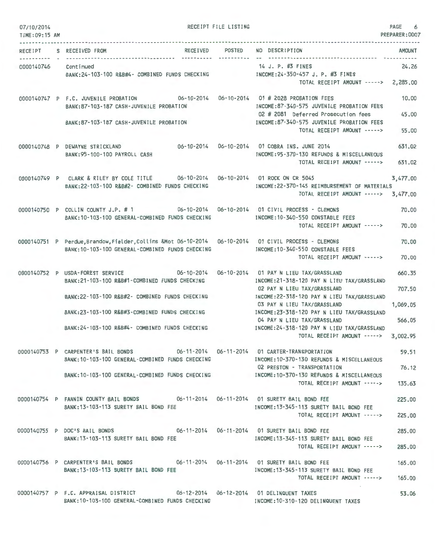| 07/10/2014<br>TIME: 09:15 AM |                                                                                                                                                                                                                                                     | RECEIPT FILE LISTING |                                                                                                                                                                                                                                                                                                                                                                       | PAGE<br>6<br>PREPARER: 0007            |
|------------------------------|-----------------------------------------------------------------------------------------------------------------------------------------------------------------------------------------------------------------------------------------------------|----------------------|-----------------------------------------------------------------------------------------------------------------------------------------------------------------------------------------------------------------------------------------------------------------------------------------------------------------------------------------------------------------------|----------------------------------------|
| RECEIPT                      | S RECEIVED FROM<br>RECEIVED                                                                                                                                                                                                                         | POSTED<br>---------- | NO DESCRIPTION                                                                                                                                                                                                                                                                                                                                                        | <b>AMOUNT</b>                          |
|                              | 0000140746 Continued<br>BANK:24-103-100 R&B#4- COMBINED FUNDS CHECKING MODE:24-350-457 J. P. #3 FINES                                                                                                                                               |                      | 14 J. P. #3 FINES<br>TOTAL RECEIPT AMOUNT -----> 2,285.00                                                                                                                                                                                                                                                                                                             | 24.26                                  |
|                              | 0000140747 P F.C. JUVENILE PROBATION 06-10-2014 06-10-2014 01 # 2028 PROBATION FEES<br>BANK:87-103-187 CASH-JUVENILE PROBATION<br>BANK:87-103-187 CASH-JUVENILE PROBATION                                                                           |                      | INCOME:87-340-575 JUVENILE PROBATION FEES<br>02 # 2081 Deferred Prosecution fees<br>INCOME:87-340-575 JUVENILE PROBATION FEES<br>TOTAL RECEIPT AMOUNT ----->                                                                                                                                                                                                          | 10.00<br>45.00<br>55,00                |
|                              | 0000140748 P DEWAYNE STRICKLAND<br>BANK: 95-100-100 PAYROLL CASH                                                                                                                                                                                    |                      | 06-10-2014    06-10-2014    01 COBRA INS, JUNE 2014<br>INCOME: 95-370-130 REFUNDS & MISCELLANEOUS<br>TOTAL RECEIPT AMOUNT ----->                                                                                                                                                                                                                                      | 631,02<br>631.02                       |
|                              | 0000140749 P CLARK & RILEY BY COLE TITLE 06-10-2014 06-10-2014 01 ROCK ON CR 5045<br>BANK:22-103-100 R&B#2- COMBINED FUNDS CHECKING                                                                                                                 |                      | INCOME:22-370-145 REIMBURSEMENT OF MATERIALS<br>TOTAL RECEIPT AMOUNT -----> 3,477.00                                                                                                                                                                                                                                                                                  | 3,477.00                               |
|                              | 0000140750 P COLLIN COUNTY J.P. #1 06-10-2014 06-10-2014 01 CIVIL PROCESS - CLEMONS<br>BANK: 10-103-100 GENERAL-COMBINED FUNDS CHECKING                                                                                                             |                      | INCOME:10-340-550 CONSTABLE FEES<br>TOTAL RECEIPT AMOUNT ----->                                                                                                                                                                                                                                                                                                       | 70,00<br>70.00                         |
|                              | 0000140751 P Perdue, Brandow, Fielder, Collins & Mot 06-10-2014 06-10-2014 01 CIVIL PROCESS - CLEMONS<br>BANK: 10-103-100 GENERAL-COMBINED FUNDS CHECKING                                                                                           |                      | INCOME:10-340-550 CONSTABLE FEES<br>TOTAL RECEIPT AMOUNT ----->                                                                                                                                                                                                                                                                                                       | 70,00<br>70,00                         |
|                              | 0000140752 P USDA-FOREST SERVICE 06-10-2014<br>BANK: 21-103-100 R&B#1-COMBINED FUNDS CHECKING<br>BANK:22-103-100 R&B#2- COMBINED FUNDS CHECKING<br>BANK:23-103-100 R&B#3-COMBINED FUNDS CHECKING<br>BANK: 24-103-100 R&B#4- COMBINED FUNDS CHECKING |                      | 06-10-2014   01 PAY N LIEU TAX/GRASSLAND<br>INCOME:21-318-120 PAY N LIEU TAX/GRASSLAND<br>02 PAY N LIEU TAX/GRASSLAND<br>INCOME:22-318-120 PAY N LIEU TAX/GRASSLAND<br>03 PAY N LIEU TAX/GRASSLAND<br>INCOME:23-318-120 PAY N LIEU TAX/GRASSLAND<br>04 PAY N LIEU TAX/GRASSLAND<br>INCOME:24-318-120 PAY N LIEU TAX/GRASSLAND<br>TOTAL RECEIPT AMOUNT -----> 3,002.95 | 660.35<br>707.50<br>1,069.05<br>566.05 |
|                              | 0000140753 P CARPENTER'S BAIL BONDS 06-11-2014 06-11-2014 01 CARTER-TRANSPORTATION<br>BANK: 10-103-100 GENERAL-COMBINED FUNDS CHECKING<br>BANK:10-103-100 GENERAL-COMBINED FUNDS CHECKING THE THOME:10-370-130 REFUNDS & MISCELLANEOUS              |                      | INCOME:10-370-130 REFUNDS & MISCELLANEOUS<br>02 PRESTON - TRANSPORTATION<br>TOTAL RECEIPT AMOUNT -----> 135.63                                                                                                                                                                                                                                                        | 59.51<br>76.12                         |
|                              | 0000140754 P FANNIN COUNTY BAIL BONDS 06-11-2014 06-11-2014 01 SURETY BAIL BOND FEE<br>BANK: 13-103-113 SURETY BAIL BOND FEE                                                                                                                        |                      | INCOME: 13-345-113 SURETY BAIL BOND FEE<br>TOTAL RECEIPT AMOUNT ----->                                                                                                                                                                                                                                                                                                | 225,00<br>225,00                       |
|                              | 0000140755 P DOC'S BAIL BONDS 06-11-2014 06-11-2014 01 SURETY BAIL BOND FEE<br>BANK: 13-103-113 SURETY BAIL BOND FEE                                                                                                                                |                      | INCOME:13-345-113 SURETY BAIL BOND FEE<br>TOTAL RECEIPT AMOUNT ----->                                                                                                                                                                                                                                                                                                 | 285,00<br>285.00                       |
|                              | 0000140756 P CARPENTER'S BAIL BONDS 06-11-2014 06-11-2014 01 SURETY BAIL BOND FEE<br>BANK: 13-103-113 SURETY BAIL BOND FEE                                                                                                                          |                      | INCOME: 13-345-113 SURETY BAIL BOND FEE<br>TOTAL RECEIPT AMOUNT -----> 165.00                                                                                                                                                                                                                                                                                         | 165.00                                 |
|                              | 0000140757 P F.C. APPRAISAL DISTRICT 06-12-2014 06-12-2014 01 DELINQUENT TAXES<br>BANK:10-103-100 GENERAL-COMBINED FUNDS CHECKING [INCOME:10-310-120 DELINQUENT TAXES                                                                               |                      |                                                                                                                                                                                                                                                                                                                                                                       | 53.06                                  |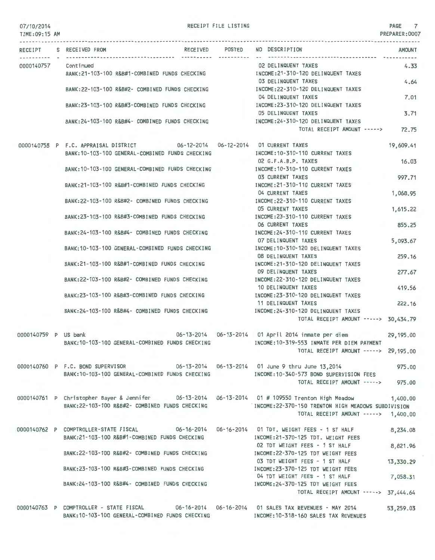| TIME: 09:15 AM       |                                                                                                                                                     |                 |                                                                                            | PREPARER: 0007   |
|----------------------|-----------------------------------------------------------------------------------------------------------------------------------------------------|-----------------|--------------------------------------------------------------------------------------------|------------------|
|                      | RECEIPT S RECEIVED FROM                                                                                                                             | RECEIVED POSTED | NO DESCRIPTION                                                                             | <b>AMOUNT</b>    |
| 0000140757           | Continued<br>BANK:21-103-100 R&B#1-COMBINED FUNDS CHECKING                                                                                          |                 | 02 DELINQUENT TAXES<br>INCOME:21-310-120 DELINQUENT TAXES                                  | 4.33             |
|                      | BANK:22-103-100 R&B#2- COMBINED FUNDS CHECKING                                                                                                      |                 | 03 DELINQUENT TAXES<br>INCOME:22-310-120 DELINQUENT TAXES                                  | 4.64             |
|                      | BANK:23-103-100 R&B#3-COMBINED FUNDS CHECKING                                                                                                       |                 | 04 DELINQUENT TAXES<br>INCOME: 23-310-120 DELINQUENT TAXES                                 | 7.01             |
|                      | BANK:24-103-100 R&B#4- COMBINED FUNDS CHECKING                                                                                                      |                 | 05 DELINQUENT TAXES<br>INCOME: 24-310-120 DELINQUENT TAXES<br>TOTAL RECEIPT AMOUNT ----->  | 3.71<br>72.75    |
|                      |                                                                                                                                                     |                 |                                                                                            |                  |
|                      | 0000140758 P F.C. APPRAISAL DISTRICT 06-12-2014 06-12-2014 01 CURRENT TAXES<br>BANK: 10-103-100 GENERAL-COMBINED FUNDS CHECKING                     |                 | INCOME: 10-310-110 CURRENT TAXES                                                           | 19,609.41        |
|                      | BANK: 10-103-100 GENERAL-COMBINED FUNDS CHECKING                                                                                                    |                 | 02 G.F.A.B.P. TAXES<br>INCOME: 10-310-110 CURRENT TAXES                                    | 16.03            |
|                      | BANK:21-103-100 R&B#1-COMBINED FUNDS CHECKING                                                                                                       |                 | 03 CURRENT TAXES<br>INCOME: 21-310-110 CURRENT TAXES                                       | 997.71           |
|                      | BANK:22-103-100 R&B#2- COMBINED FUNDS CHECKING                                                                                                      |                 | 04 CURRENT TAXES<br>INCOME:22-310-110 CURRENT TAXES                                        | 1,068.95         |
|                      | BANK:23-103-100 R&B#3-COMBINED FUNDS CHECKING                                                                                                       |                 | <b>05 CURRENT TAXES</b><br>INCOME: 23-310-110 CURRENT TAXES                                | 1,615.22         |
|                      | BANK:24-103-100 R&B#4- COMBINED FUNDS CHECKING                                                                                                      |                 | 06 CURRENT TAXES<br>INCOME: 24-310-110 CURRENT TAXES                                       | 855,25           |
|                      | BANK:10-103-100 GENERAL-COMBINED FUNDS CHECKING                                                                                                     |                 | 07 DELINQUENT TAXES<br>INCOME: 10-310-120 DELINQUENT TAXES                                 | 5,093.67         |
|                      | BANK:21-103-100 R&B#1-COMBINED FUNDS CHECKING                                                                                                       |                 | <b>08 DELINQUENT TAXES</b><br>INCOME: 21-310-120 DELINQUENT TAXES                          | 259.16           |
|                      | BANK:22-103-100 R&B#2- COMBINED FUNDS CHECKING                                                                                                      |                 | 09 DELINQUENT TAXES<br>INCOME: 22-310-120 DELINQUENT TAXES<br>10 DELINQUENT TAXES          | 277.67<br>419.56 |
|                      | BANK:23-103-100 R&B#3-COMBINED FUNDS CHECKING                                                                                                       |                 | INCOME: 23-310-120 DELINQUENT TAXES<br>11 DELINQUENT TAXES                                 | 222.16           |
|                      | BANK:24-103-100 R&B#4- COMBINED FUNDS CHECKING                                                                                                      |                 | INCOME: 24-310-120 DELINQUENT TAXES<br>TOTAL RECEIPT AMOUNT -----> 30,434.79               |                  |
| 0000140759 P US bank |                                                                                                                                                     |                 | 06-13-2014  06-13-2014  01 April 2014 inmate per diem                                      | 29, 195, 00      |
|                      | BANK: 10-103-100 GENERAL-COMBINED FUNDS CHECKING                                                                                                    |                 | INCOME:10-319-553 INMATE PER DIEM PAYMENT<br>TOTAL RECEIPT AMOUNT -----> 29,195.00         |                  |
|                      | 0000140760 P F.C. BOND SUPERVISOR 06-13-2014 06-13-2014 01 June 9 thru June 13,2014                                                                 |                 |                                                                                            | 975.00           |
|                      | BANK: 10-103-100 GENERAL-COMBINED FUNDS CHECKING                                                                                                    |                 | INCOME: 10-340-573 BOND SUPERVISION FEES<br>TOTAL RECEIPT AMOUNT ----->                    | 975.00           |
|                      | 0000140761 P Christopher Bayer & Jennifer 06-13-2014 06-13-2014 01 # 109550 Trenton High Meadow<br>BANK:22-103-100 R&B#2- COMBINED FUNDS CHECKING   |                 | INCOME:22-370-150 TRENTON HIGH MEADOWS SUBDIVISION<br>TOTAL RECEIPT AMOUNT -----> 1,400.00 | 1,400.00         |
|                      | 0000140762 P COMPTROLLER-STATE FISCAL 06-16-2014 06-16-2014 01 TDT. WEIGHT FEES - 1 ST HALF<br>BANK:21-103-100 R&B#1-COMBINED FUNDS CHECKING        |                 | INCOME: 21-370-125 TDT. WEIGHT FEES                                                        | 8,234.08         |
|                      | BANK:22-103-100 R&B#2- COMBINED FUNDS CHECKING                                                                                                      |                 | 02 TDT WEIGHT FEES - 1 ST HALF<br>INCOME: 22-370-125 TDT WEIGHT FEES                       | 8,821.96         |
|                      | BANK:23-103-100 R&B#3-COMBINED FUNDS CHECKING                                                                                                       |                 | 03 TDT WEIGHT FEES - 1 ST HALF<br>INCOME:23-370-125 TDT WEIGHT FEES                        | 13,330.29        |
|                      | BANK:24-103-100 R&B#4- COMBINED FUNDS CHECKING                                                                                                      |                 | 04 TDT WEIGHT FEES - 1 ST HALF<br>INCOME:24-370-125 TDT WEIGHT FEES                        | 7,058.31         |
|                      |                                                                                                                                                     |                 | TOTAL RECEIPT AMOUNT -----> 37,444.64                                                      |                  |
|                      | 0000140763 P COMPTROLLER - STATE FISCAL 06-16-2014 06-16-2014 01 SALES TAX REVENUES - MAY 2014<br>RANK . 10-103-100 CENERAL-COMBINED FUNDS CHECKING |                 | INCOME-10-318-140 CALES TAY DEVENILES                                                      | 53,259.03        |

BANK:10-103-100 GENERAL-COMBINED FUNDS CHECKING

RECEIPT FILE LISTING **PAGE** 7

INCOME:10-318-160 SALES TAX REVENUES

07/10/2014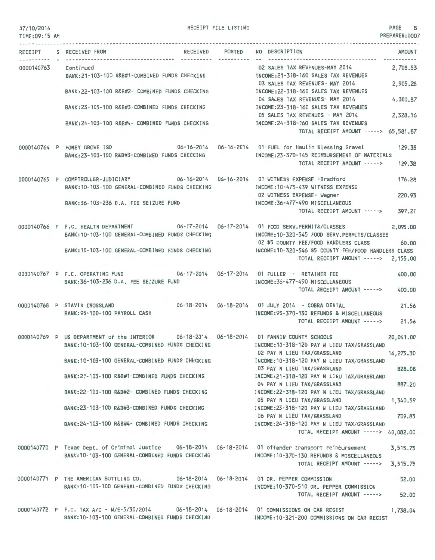### 07/10/2014 TIME:09:15 AM

RECEIPT FILE LISTING 8

PREPARER:0007

| RECEIPT    | RECE I VED<br>S RECEIVED FROM                                                                                                                              | POSTED | NO DESCRIPTION<br><b>AMOUNT</b>                                                                                                                                 |
|------------|------------------------------------------------------------------------------------------------------------------------------------------------------------|--------|-----------------------------------------------------------------------------------------------------------------------------------------------------------------|
| 0000140763 | Continued<br>BANK:21-103-100 R&B#1-COMBINED FUNDS CHECKING                                                                                                 |        | 2,708.53<br>02 SALES TAX REVENUES-MAY 2014<br>INCOME: 21-318-160 SALES TAX REVENUES                                                                             |
|            | BANK:22-103-100 R&B#2- COMBINED FUNDS CHECKING                                                                                                             |        | 03 SALES TAX REVENUES- MAY 2014<br>2,905.28<br>INCOME: 22-318-160 SALES TAX REVENUES                                                                            |
|            | BANK: 23-103-100 R&B#3-COMBINED FUNDS CHECKING                                                                                                             |        | 04 SALES TAX REVENUES- MAY 2014<br>4,380.87<br>INCOME:23-318-160 SALES TAX REVENUES                                                                             |
|            | BANK: 24-103-100 R&B#4- COMBINED FUNDS CHECKING                                                                                                            |        | 05 SALES TAX REVENUES - MAY 2014<br>2,328.16<br>INCOME: 24-318-160 SALES TAX REVENUES                                                                           |
|            |                                                                                                                                                            |        | TOTAL RECEIPT AMOUNT -----> 65,581.87                                                                                                                           |
|            | 0000140764 P HONEY GROVE ISD<br>BANK:23-103-100 R&B#3-COMBINED FUNDS CHECKING                                                                              |        | 129.38<br>INCOME:23-370-145 REIMBURSEMENT OF MATERIALS                                                                                                          |
|            |                                                                                                                                                            |        | TOTAL RECEIPT AMOUNT -----><br>129.38                                                                                                                           |
|            | 0000140765 P COMPTROLLER-JUDICIARY 06-16-2014 06-16-2014 01 WITNESS EXPENSE -Bradford<br>BANK: 10-103-100 GENERAL-COMBINED FUNDS CHECKING                  |        | 176.28<br>INCOME: 10-475-439 WITNESS EXPENSE                                                                                                                    |
|            | BANK: 36-103-236 D.A. FEE SEIZURE FUND                                                                                                                     |        | 02 WITNESS EXPENSE- Wagner<br>220.93<br>INCOME: 36-477-490 MISCELLANEOUS                                                                                        |
|            |                                                                                                                                                            |        | 397.21<br>TOTAL RECEIPT AMOUNT ----->                                                                                                                           |
|            | 0000140766 P F.C. HEALTH DEPARTMENT<br>BANK: 10-103-100 GENERAL-COMBINED FUNDS CHECKING                                                                    |        | 2,095.00<br>INCOME:10-320-545 FOOD SERV.PERMITS/CLASSES                                                                                                         |
|            | BANK: 10-103-100 GENERAL-COMBINED FUNDS CHECKING                                                                                                           |        | 02 \$5 COUNTY FEE/FOOD HANDLERS CLASS<br>60.00<br>INCOME: 10-320-546 \$5 COUNTY FEE/FOOD HANDLERS CLASS<br>TOTAL RECEIPT AMOUNT -----> 2,155.00                 |
|            | 0000140767 P F.C. OPERATING FUND                                                                                                                           |        | 400.00                                                                                                                                                          |
|            | BANK: 36-103-236 D.A. FEE SEIZURE FUND                                                                                                                     |        | INCOME: 36-477-490 MISCELLANEOUS<br>TOTAL RECEIPT AMOUNT -----><br>400.00                                                                                       |
|            | 0000140768 P STAVIS CROSSLAND<br>BANK: 95-100-100 PAYROLL CASH                                                                                             |        | 06-18-2014    06-18-2014    01    JULY    2014    - COBRA DENTAL<br>21.56<br>INCOME: 95-370-130 REFUNDS & MISCELLANEOUS<br>TOTAL RECEIPT AMOUNT -----><br>21.56 |
|            | 0000140769 P US DEPARTMENT of the INTERIOR<br>BANK: 10-103-100 GENERAL-COMBINED FUNDS CHECKING                                                             |        | 06-18-2014    06-18-2014    01    FANNIN COUNTY SCHOOLS<br>20,041.00<br>INCOME: 10-318-120 PAY N LIEU TAX/GRASSLAND                                             |
|            | BANK:10-103-100 GENERAL-COMBINED FUNDS CHECKING                                                                                                            |        | 02 PAY N LIEU TAX/GRASSLAND<br>16,275.30<br>INCOME: 10-318-120 PAY N LIEU TAX/GRASSLAND                                                                         |
|            | BANK:21-103-100 R&B#1-COMBINED FUNDS CHECKING                                                                                                              |        | 828.08<br>03 PAY N LIEU TAX/GRASSLAND<br>INCOME:21-318-120 PAY N LIEU TAX/GRASSLAND                                                                             |
|            | BANK: 22-103-100 R&B#2- COMBINED FUNDS CHECKING                                                                                                            |        | 887.20<br>04 PAY N LIEU TAX/GRASSLAND<br>INCOME: 22-318-120 PAY N LIEU TAX/GRASSLAND                                                                            |
|            | BANK:23-103-100 R&B#3-COMBINED FUNDS CHECKING                                                                                                              |        | 05 PAY N LIEU TAX/GRASSLAND<br>1,340.59<br>INCOME:23-318-120 PAY N LIEU TAX/GRASSLAND                                                                           |
|            | BANK:24-103-100 R&B#4- COMBINED FUNDS CHECKING                                                                                                             |        | 709.83<br>06 PAY N LIEU TAX/GRASSLAND<br>INCOME:24-318-120 PAY N LIEU TAX/GRASSLAND                                                                             |
|            |                                                                                                                                                            |        | TOTAL RECEIPT AMOUNT -----> 40,082.00                                                                                                                           |
|            | 0000140770 P Texas Dept. of Criminal Justice 06-18-2014 06-18-2014 01 offender transport reimbursement<br>BANK: 10-103-100 GENERAL-COMBINED FUNDS CHECKING |        | 3,515.75<br>INCOME: 10-370-130 REFUNDS & MISCELLANEOUS                                                                                                          |
|            |                                                                                                                                                            |        | TOTAL RECEIPT AMOUNT -----><br>3,515.75                                                                                                                         |
|            | 0000140771 P THE AMERICAN BOTTLING CO. 06-18-2014 06-18-2014 01 DR. PEPPER COMMISSION<br>BANK: 10-103-100 GENERAL-COMBINED FUNDS CHECKING                  |        | 52.00<br>INCOME:10-370-510 DR. PEPPER COMMISSION                                                                                                                |
|            |                                                                                                                                                            |        | TOTAL RECEIPT AMOUNT -----><br>52.00                                                                                                                            |
|            | 0000140772 P F.C. TAX A/C - W/E-5/30/2014 06-18-2014 06-18-2014 01 COMMISSIONS ON CAR REGIST<br>BANK: 10-103-100 GENERAL-COMBINED FUNDS CHECKING           |        | 1,738.04<br>INCOME:10-321-200 COMMISSIONS ON CAR REGIST                                                                                                         |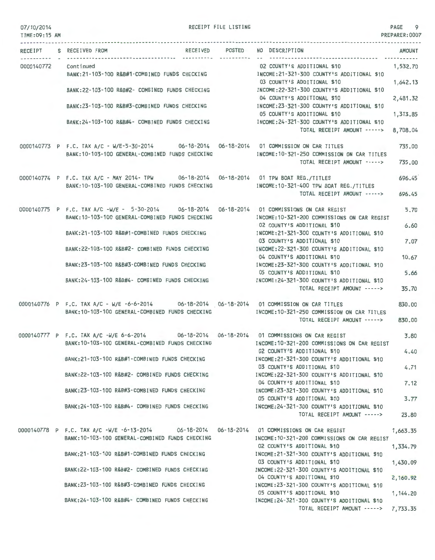RECEIPT S RECEIVED FROM

0000140772 Continued

RECEIPT FILE LISTING PAGE 9 TIME:09:15 AM PREPARER:0007 RECEIVED POSTED NO DESCRIPTION AMOUNT 02 COUNTY'S ADDITIONAL \$10 1,532.70 BANK:21-103-100 R&B#1-COMBINED FUNDS CHECKING INCOME:21-321-300 COUNTY'S ADDITIONAL \$10 03 COUNTY'S ADDITIONAL \$10 1,642-13 BANK:22-103-100 R&B#2- COMBINED FUNDS CHECKING INCOME:22-321-300 COUNTY'S ADDITIONAL \$10 04 COUNTY'S ADDITIONAL \$10 2,481\_32 BANK:23-103-100 R&B#3-COMBINED FUNDS CHECKING INCOME:23-321-300 COUNTY'S ADDITIONAL \$10 05 COUNTY'S ADDITIONAL \$10 1,313.85 BANK:24-103-100 R&B#4- COMBINED FUNDS CHECKING INCOME:24-321-300 COUNTY'S ADDITIONAL \$10 TOTAL RECEIPT AMOUNT -----> 8,708\_04 0000140773 P F.C. TAX A/C - W/E-5-30-2014 06-18-2014 06-18-2014 01 COMMISSION ON CAR TITLES 735.00 BANK:10-103-100 GENERAL-COMBINED FUNDS CHECKING INCOME:10-321-250 COMMISSION ON CAR TITLES TOTAL RECEIPT AMOUNT -- ---> 735\_00 06-18-2014 06-18-2014 01 TPW BOAT REG./TITLES 0000140774 P F.C. TAX A/C - MAY 2014- TPW 696.45 BANK:10-103-100 GENERAL-COMBINED FUNDS CHECKING INCOME:10-321-400 TPW BOAT REG./TITLES TOTAL RECEIPT AMOUNT -----> 696.45 0000140775 P F.C. TAX A/C -W/E - 5-30-2014 06-18-2014 06-18-2014 01 COMMISSIONS ON CAR REGIST 5.70 BANK:10-103-100 GENERAL-COMBINED FUNDS CHECKING INCOME:10 -321-200 COMMISSIONS ON CAR REGIST 02 COUNTY'S ADDITIONAL \$10 6.60 BANK:21-103-100 R&B#1-COMBINED FUNDS CHECKING INCOME:21-321-300 COUNTY'S ADDITIONAL \$10 03 COUNTY'S ADDITIONAL \$10 7.07 BANK:22-103-100 R&B#2- COMBINED FUNDS CHECKING INCOME:22-321-300 COUNTY'S ADDITIONAL \$10 04 COUNTY'S ADDITIONAL \$10 10 .67 BANK:23-103-100 R&B#3-COMBINED FUNDS CHECKING INCOME:23-321-300 COUNTY'S ADDITIONAL \$10 05 COUNTY'S ADDITIONAL \$10 5\_66 INCOME :24-321-300 COUNTY'S ADDITIONAL \$10 BANK:24-103-100 R&B#4- COMBINED FUNDS CHECKING TOTAL RECEIPT AMOUNT -----> 35.70 0000140776 P F.C. TAX A/C - ~IE -6-6-2014 06-18-2014 06-18-2014 01 COMMISSION ON CAR TITLES 830.00 BANK:10-103-100 GENERAL-COMBINED FUNDS CHECKING INCOME:10-321-250 COMMISSION ON CAR TITLES TOTAL RECEIPT AMOUNT -----> 830.00 0000140777 P F.C. TAX A/C -W/E 6-6-2014 06-18-2014 06-18-2014 01 COMMISSIONS ON CAR REGIST 3 \_80 BANK:10-103- 100 GENERAL-COMBINED FUNDS CHECKING INCOME:10-321-200 COMMISSIONS ON CAR REGIST 02 COUNTY'S ADDITIONAL \$10 4.40 BANK:21-103-100 R&B#1-COMBINED FUNDS CHECKING INCOME:21-321-300 COUNTY'S ADDITIONAL \$10 03 COUNTY'S ADDITIONAL \$10 4.71 BANK:22-103-100 R&B#2- COMBINED FUNDS CHECKING INCOME:22-321 -300 COUNTY'S ADDITIONAL \$10 04 COUNTY'S ADDITIONAL \$10 7.12 BANK:23-103-100 R&B#3-COMBINED FUNDS CHECKING INCOME:23-321-300 COUNTY'S ADDITIONAL \$10 05 COUNTY'S ADDITIONAL \$10 3.77 BANK:24-103-100 R&B#4- COMBINED FUNDS CHECKING INCOME:24-321-300 COUNTY'S ADDITIONAL \$10 TOTAL RECEIPT AMOUNT -----> 23.80 0000140778 P F.C. TAX A/C -W/E -6-13-2014 06-18-2014 06-18-2014 01 COMMISSIONS ON CAR REGIST 1,663.35 INCOME:10-321-200 COMMISSIONS ON CAR REGIST 02 COUNTY'S ADDITIONAL \$10 1,334.79 INCOME:21-321-300 COUNTY'S ADDITIONAL \$10 03 COUNTY'S ADDITIONAL \$10 1,430.09 INCOME:22-321-300 COUNTY'S ADDITIONAL \$10

1,144.20

BANK:10-103-100 GENERAL-COMBINED FUNDS CHECKING BANK:21-103-100 R&B#1-COMBINED FUNDS CHECKING BANK:22-103 -100 R&B#2- COMBINED FUNDS CHECKING BANK:23-103-100 R&B#3-COMBINED FUNDS CHECKING BANK:24-103-100 R&B#4- COMBINED FUNDS CHECKING 04 COUNTY'S ADDITIONAL \$10 2,160.92 INCOME:23-321 -300 COUNTY'S ADDITIONAL \$10 05 COUNTY'S ADDITIONAL \$10 INCOME:24 -321 -300 COUNTY'S ADDITIONAL \$10 TOTAL RECEIPT AMOUNT -----> 7,733.35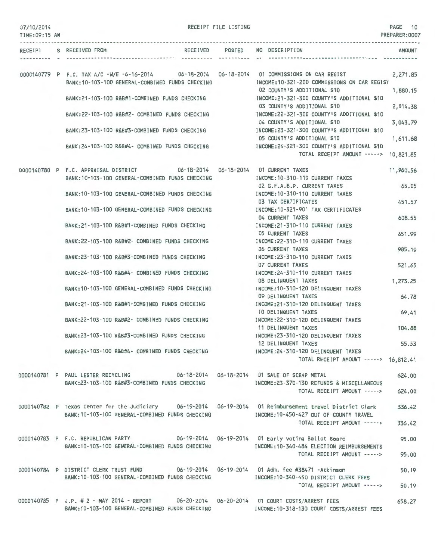|  | 07/10/2014 |  |  |
|--|------------|--|--|
|--|------------|--|--|

| 07/10/2014<br>TIME: 09:15 AM |                                                                                                                                                                                                 | RECEIPT FILE LISTING         |                                                                                                   | PAGE 10<br>PREPARER: 0007 |
|------------------------------|-------------------------------------------------------------------------------------------------------------------------------------------------------------------------------------------------|------------------------------|---------------------------------------------------------------------------------------------------|---------------------------|
|                              | RECEIPT S RECEIVED FROM                                                                                                                                                                         | RECEIVED POSTED<br>--------- | NO DESCRIPTION                                                                                    | <b>AMOUNT</b>             |
|                              |                                                                                                                                                                                                 |                              |                                                                                                   |                           |
|                              | 0000140779 P F.C. TAX A/C -W/E -6-16-2014 06-18-2014 06-18-2014 01 COMMISSIONS ON CAR REGIST<br>BANK: 10-103-100 GENERAL-COMBINED FUNDS CHECKING                                                |                              | INCOME:10-321-200 COMMISSIONS ON CAR REGIST<br>02 COUNTY'S ADDITIONAL \$10                        | 2,271.85<br>1,880.15      |
|                              | BANK:21-103-100 R&B#1-COMBINED FUNDS CHECKING                                                                                                                                                   |                              | INCOME: 21-321-300 COUNTY'S ADDITIONAL \$10<br>03 COUNTY'S ADDITIONAL \$10                        | 2,014.38                  |
|                              | BANK:22-103-100 R&B#2- COMBINED FUNDS CHECKING                                                                                                                                                  |                              | INCOME: 22-321-300 COUNTY'S ADDITIONAL \$10<br>04 COUNTY'S ADDITIONAL \$10                        | 3,043.79                  |
|                              | BANK:23-103-100 R&B#3-COMBINED FUNDS CHECKING                                                                                                                                                   |                              | INCOME:23-321-300 COUNTY'S ADDITIONAL \$10<br>05 COUNTY'S ADDITIONAL \$10                         | 1,611.68                  |
|                              | BANK:24-103-100 R&B#4- COMBINED FUNDS CHECKING                                                                                                                                                  |                              | INCOME: 24-321-300 COUNTY'S ADDITIONAL \$10<br>TOTAL RECEIPT AMOUNT -----> 10,821.85              |                           |
|                              | 0000140780 P F.C. APPRAISAL DISTRICT 06-18-2014 06-18-2014 01 CURRENT TAXES<br>BANK: 10-103-100 GENERAL-COMBINED FUNDS CHECKING                                                                 |                              | INCOME: 10-310-110 CURRENT TAXES                                                                  | 11,960.56                 |
|                              | BANK: 10-103-100 GENERAL-COMBINED FUNDS CHECKING                                                                                                                                                |                              | 02 G.F.A.B.P. CURRENT TAXES<br>INCOME:10-310-110 CURRENT TAXES                                    | 65.05                     |
|                              | BANK: 10-103-100 GENERAL-COMBINED FUNDS CHECKING                                                                                                                                                |                              | 03 TAX CERTIFICATES<br>INCOME: 10-321-901 TAX CERTIFICATES                                        | 451.57                    |
|                              | BANK: 21-103-100 R&B#1-COMBINED FUNDS CHECKING                                                                                                                                                  |                              | 04 CURRENT TAXES<br>INCOME: 21-310-110 CURRENT TAXES                                              | 608.55                    |
|                              | BANK:22-103-100 R&B#2- COMBINED FUNDS CHECKING                                                                                                                                                  |                              | 05 CURRENT TAXES<br>INCOME: 22-310-110 CURRENT TAXES<br><b>06 CURRENT TAXES</b>                   | 651.99<br>985.19          |
|                              | BANK:23-103-100 R&B#3-COMBINED FUNDS CHECKING                                                                                                                                                   |                              | INCOME: 23-310-110 CURRENT TAXES<br>07 CURRENT TAXES                                              | 521.65                    |
|                              | BANK:24-103-100 R&B#4- COMBINED FUNDS CHECKING                                                                                                                                                  |                              | INCOME: 24-310-110 CURRENT TAXES<br><b>08 DELINQUENT TAXES</b>                                    | 1,273.25                  |
|                              | BANK: 10-103-100 GENERAL-COMBINED FUNDS CHECKING                                                                                                                                                |                              | INCOME: 10-310-120 DELINQUENT TAXES<br>09 DELINQUENT TAXES                                        | 64.78                     |
|                              | BANK:21-103-100 R&B#1-COMBINED FUNDS CHECKING                                                                                                                                                   |                              | INCOME:21-310-120 DELINQUENT TAXES<br>10 DELINQUENT TAXES                                         | 69.41                     |
|                              | BANK:22-103-100 R&B#2- COMBINED FUNDS CHECKING                                                                                                                                                  |                              | INCOME:22-310-120 DELINQUENT TAXES<br>11 DELINQUENT TAXES                                         | 104.88                    |
|                              | BANK: 23-103-100 R&B#3-COMBINED FUNDS CHECKING<br>BANK:24~103-100 R&B#4- COMBINED FUNDS CHECKING                                                                                                |                              | INCOME: 23-310-120 DELINQUENT TAXES<br>12 DELINQUENT TAXES<br>INCOME: 24-310-120 DELINQUENT TAXES | 55.53                     |
|                              |                                                                                                                                                                                                 |                              | TOTAL RECEIPT AMOUNT -----> 16,812.41                                                             |                           |
|                              | 0000140781 P PAUL LESTER RECYCLING 06-18-2014 06-18-2014 01 SALE OF SCRAP METAL<br>BANK:23-103-100 R&B#3-COMBINED FUNDS CHECKING                                                                |                              | INCOME:23-370-130 REFUNDS & MISCELLANEOUS                                                         | 624.00                    |
|                              |                                                                                                                                                                                                 |                              | TOTAL RECEIPT AMOUNT ----->                                                                       | 624.00                    |
|                              | 0000140782 P Texas Center for the Judiciary 06-19-2014 06-19-2014 01 Reimbursement travel District Clerk<br>BANK: 10-103-100 GENERAL-COMBINED FUNDS CHECKING                                    |                              | INCOME:10-450-427 OUT OF COUNTY TRAVEL                                                            | 336.42                    |
|                              |                                                                                                                                                                                                 |                              | TOTAL RECEIPT AMOUNT ----->                                                                       | 336.42                    |
|                              | 0000140783 P F.C. REPUBLICAN PARTY 06-19-2014 06-19-2014 01 Early voting Ballot Board<br>BANK:10-103-100 GENERAL-COMBINED FUNDS CHECKING MOONE:10-340-484 ELECTION REIMBURSEMENTS               |                              |                                                                                                   | 95.00                     |
|                              |                                                                                                                                                                                                 |                              | TOTAL RECEIPT AMOUNT ----->                                                                       | 95.00                     |
|                              | 0000140784 P DISTRICT CLERK TRUST FUND 06-19-2014 05-19-2014 01 Adm. fee #38471 -Atkinson<br>BANK: 10-103-100 GENERAL-COMBINED FUNDS CHECKING                                                   |                              | INCOME:10-340-450 DISTRICT CLERK FEES                                                             | 50.19                     |
|                              |                                                                                                                                                                                                 |                              | TOTAL RECEIPT AMOUNT ----->                                                                       | 50.19                     |
|                              | 0000140785 P J.P. # 2 - MAY 2014 - REPORT 06-20-2014 06-20-2014 01 COURT COSTS/ARREST FEES<br>BANK:10-103-100 GENERAL-COMBINED FUNDS CHECKING MANUSING THOME:10-318-130 COURT COSTS/ARREST FEES |                              |                                                                                                   | 658.27                    |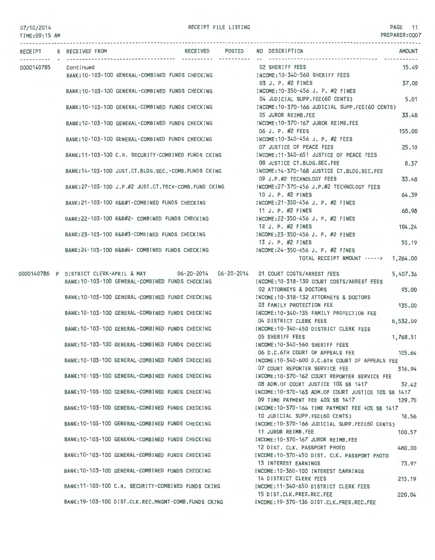RECEIPT FILE LISTING

PAGE 11

| $U(1)$ $U(2)$ $C(1)$<br>TIME:09:15 AM |                         |                                                        |                           |                                                                                          | PREPARER:0007 |
|---------------------------------------|-------------------------|--------------------------------------------------------|---------------------------|------------------------------------------------------------------------------------------|---------------|
|                                       | RECEIPT S RECEIVED FROM |                                                        | ----------- ---------- -- | RECEIVED POSTED NO DESCRIPTION                                                           | <b>AMOUNT</b> |
|                                       |                         |                                                        |                           | <b>02 SHERIFF FEES</b>                                                                   | 15.49         |
| 0000140785                            | Continued               | BANK: 10-103-100 GENERAL-COMBINED FUNDS CHECKING       |                           | INCOME: 10-340-560 SHERIFF FEES                                                          |               |
|                                       |                         |                                                        |                           | 03 J. P. #2 FINES                                                                        | 37.00         |
|                                       |                         | BANK: 10-103-100 GENERAL-COMBINED FUNDS CHECKING       |                           | INCOME: 10-350-456 J. P. #2 FINES                                                        |               |
|                                       |                         |                                                        |                           | 04 JUDICIAL SUPP.FEE(60 CENTS)                                                           | 5.01          |
|                                       |                         | BANK: 10-103-100 GENERAL-COMBINED FUNDS CHECKING       |                           | INCOME: 10-370-166 JUDICIAL SUPP.FEE(60 CENTS)                                           |               |
|                                       |                         |                                                        |                           | 05 JUROR REIMB.FEE                                                                       | 33.48         |
|                                       |                         | BANK: 10-103-100 GENERAL-COMBINED FUNDS CHECKING       |                           | INCOME: 10-370-167 JUROR REIMB.FEE                                                       |               |
|                                       |                         |                                                        |                           | 06 J. P. #2 FEES                                                                         | 155.00        |
|                                       |                         | BANK: 10-103-100 GENERAL-COMBINED FUNDS CHECKING       |                           | INCOME: 10-340-456 J. P. #2 FEES                                                         |               |
|                                       |                         |                                                        |                           | 07 JUSTICE OF PEACE FEES                                                                 | 25.10         |
|                                       |                         | BANK: 11-103-100 C.H. SECURITY-COMBINED FUNDS CKING    |                           | INCOME:11-340-651 JUSTICE OF PEACE FEES                                                  |               |
|                                       |                         |                                                        |                           | 08 JUSTICE CT.BLDG.SEC.FEE                                                               | 8.37          |
|                                       |                         | BANK: 14-103-100 JUST.CT.BLDG.SEC.-COMB.FUNDS CKING    |                           | INCOME: 14-370-168 JUSTICE CT.BLDG.SEC.FEE                                               |               |
|                                       |                         |                                                        |                           | 09 J.P.#2 TECHNOLOGY FEES                                                                | 33.48         |
|                                       |                         | BANK: 27-103-100 J.P.#2 JUST.CT. TECH-COMB. FUND CKING |                           | INCOME: 27-370-456 J.P.#2 TECHNOLOGY FEES                                                |               |
|                                       |                         |                                                        |                           | 10 J. P. #2 FINES                                                                        | 64.39         |
|                                       |                         | BANK:21-103-100 R&B#1-COMBINED FUNDS CHECKING          |                           | INCOME: 21-350-456 J. P. #2 FINES                                                        |               |
|                                       |                         |                                                        |                           | 11 J. P. #2 FINES                                                                        | 68.98         |
|                                       |                         | BANK:22-103-100 R&B#2- COMBINED FUNDS CHECKING         |                           | INCOME: 22-350-456 J. P. #2 FINES                                                        |               |
|                                       |                         |                                                        |                           | 12 J. P. #2 FINES                                                                        | 104.24        |
|                                       |                         | BANK:23-103-100 R&B#3-COMBINED FUNDS CHECKING          |                           | INCOME: 23-350-456 J. P. #2 FINES                                                        |               |
|                                       |                         |                                                        |                           | 13 J. P. #2 FINES                                                                        | 55.19         |
|                                       |                         | BANK:24-103-100 R&B#4- COMBINED FUNDS CHECKING         |                           | INCOME: 24-350-456 J. P. #2 FINES                                                        |               |
|                                       |                         |                                                        |                           | TOTAL RECEIPT AMOUNT -----> 1,264.00                                                     |               |
|                                       |                         |                                                        |                           |                                                                                          |               |
|                                       |                         |                                                        |                           | 0000140786 P DISTRICT CLERK-APRIL & MAY 06-20-2014 06-20-2014 01 COURT COSTS/ARREST FEES | 5,407.36      |
|                                       |                         | BANK: 10-103-100 GENERAL-COMBINED FUNDS CHECKING       |                           | INCOME: 10-318-130 COURT COSTS/ARREST FEES                                               |               |
|                                       |                         |                                                        |                           | <b>02 ATTORNEYS &amp; DOCTORS</b>                                                        | 93.00         |
|                                       |                         | BANK:10-103-100 GENERAL-COMBINED FUNDS CHECKING        |                           | INCOME: 10-318-132 ATTORNEYS & DOCTORS                                                   |               |
|                                       |                         |                                                        |                           | 03 FAMILY PROTECTION FEE                                                                 | 135,00        |
|                                       |                         | BANK: 10-103-100 GENERAL-COMBINED FUNDS CHECKING       |                           | INCOME:10-340-135 FAMILY PROTECTION FEE                                                  |               |
|                                       |                         |                                                        |                           | 04 DISTRICT CLERK FEES                                                                   | 6,532.09      |
|                                       |                         | BANK: 10-103-100 GENERAL-COMBINED FUNDS CHECKING       |                           | INCOME: 10-340-450 DISTRICT CLERK FEES                                                   |               |
|                                       |                         |                                                        |                           | <b>05 SHERIFF FEES</b>                                                                   | 1,768.51      |
|                                       |                         | BANK: 10-103-100 GENERAL-COMBINED FUNDS CHECKING       |                           | INCOME: 10-340-560 SHERIFF FEES                                                          |               |
|                                       |                         |                                                        |                           | 06 D.C.6TH COURT OF APPEALS FEE                                                          | 105.64        |
|                                       |                         | BANK: 10-103-100 GENERAL-COMBINED FUNDS CHECKING       |                           | INCOME: 10-340-600 D.C.6TH COURT OF APPEALS FEE                                          |               |
|                                       |                         |                                                        |                           | 07 COURT REPORTER SERVICE FEE                                                            | 316.94        |
|                                       |                         | BANK:10-103-100 GENERAL-COMBINED FUNDS CHECKING        |                           | INCOME: 10-370-162 COURT REPORTER SERVICE FEE                                            |               |
|                                       |                         |                                                        |                           | 08 ADM.OF COURT JUSTICE 10% SB 1417                                                      | 32.42         |
|                                       |                         | BANK: 10-103-100 GENERAL-COMBINED FUNDS CHECKING       |                           | INCOME:10-370-163 ADM.OF COURT JUSTICE 10% SB 1417                                       |               |
|                                       |                         |                                                        |                           | 09 TIME PAYMENT FEE 40% SB 1417                                                          | 129,70        |
|                                       |                         | BANK: 10-103-100 GENERAL-COMBINED FUNDS CHECKING       |                           | INCOME: 10-370-164 TIME PAYMENT FEE 40% SB 1417                                          |               |
|                                       |                         |                                                        |                           | 10 JUDICIAL SUPP.FEE(60 CENTS)                                                           | 18.56         |
|                                       |                         | BANK: 10-103-100 GENERAL-COMBINED FUNDS CHECKING       |                           | INCOME:10-370-166 JUDICIAL SUPP.FEE(60 CENTS)                                            |               |
|                                       |                         |                                                        |                           | 11 JUROR REIMB.FEE                                                                       | 100,57        |
|                                       |                         | BANK: 10-103-100 GENERAL-COMBINED FUNDS CHECKING       |                           | INCOME:10-370-167 JUROR REIMB.FEE                                                        |               |
|                                       |                         |                                                        |                           | 12 DIST. CLK. PASSPORT PHOTO                                                             | 480.00        |
|                                       |                         | BANK:10-103-100 GENERAL-COMBINED FUNDS CHECKING        |                           | INCOME: 10-370-450 DIST. CLK. PASSPORT PHOTO                                             |               |
|                                       |                         |                                                        |                           | 13 INTEREST EARNINGS                                                                     | 73.97         |
|                                       |                         | BANK:10-103-100 GENERAL-COMBINED FUNDS CHECKING        |                           | INCOME: 10-360-100 INTEREST EARNINGS                                                     |               |
|                                       |                         |                                                        |                           | 14 DISTRICT CLERK FEES                                                                   | 215.19        |
|                                       |                         | BANK: 11-103-100 C.H. SECURITY-COMBINED FUNDS CKING    |                           | INCOME:11-340-650 DISTRICT CLERK FEES                                                    |               |
|                                       |                         |                                                        |                           | 15 DIST.CLK.PRES.REC.FEE                                                                 | 220.04        |
|                                       |                         | BANK: 19-103-100 DIST.CLK.REC.MNGMT-COMB.FUNDS CKING   |                           | INCOME: 19-370-136 DIST.CLK.PRES.REC.FEE                                                 |               |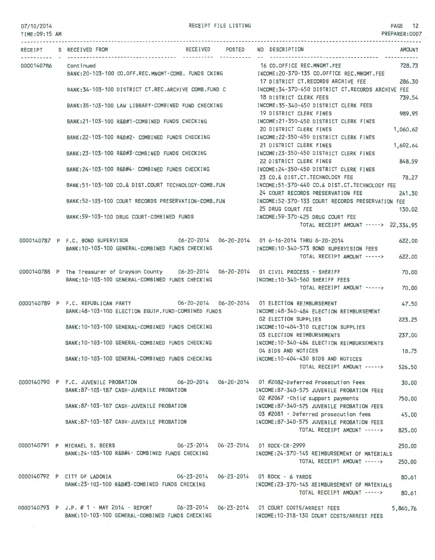#### 07/10/2014 TIME:09:15 AM

RECEIPT FILE LISTING **PAGE** 12

PREPARER:0007

|            | RECEIPT S RECEIVED FROM                                                                                                                       | RECEIVED POSTED NO DESCRIPTION<br><b>AMOUNT</b>                                                                                        |
|------------|-----------------------------------------------------------------------------------------------------------------------------------------------|----------------------------------------------------------------------------------------------------------------------------------------|
| 0000140786 | Cont inued<br>BANK:20-103-100 CO.OFF.REC.MNGMT-COMB. FUNDS CKING                                                                              | 16 CO.OFFICE REC.MNGMT.FEE<br>728.73<br>INCOME:20-370-135 CO.OFFICE REC.MNGMT.FEE                                                      |
|            | BANK: 34-103-100 DISTRICT CT.REC.ARCHIVE COMB.FUND C                                                                                          | 17 DISTRICT CT.RECORDS ARCHIVE FEE<br>286.30<br>INCOME: 34-370-450 DISTRICT CT.RECORDS ARCHIVE FEE<br>18 DISTRICT CLERK FEES<br>739.54 |
|            | BANK:35-103-100 LAW LIBRARY-COMBINED FUND CHECKING                                                                                            | INCOME: 35-340-450 DISTRICT CLERK FEES<br>19 DISTRICT CLERK FINES<br>989.95                                                            |
|            | BANK: 21-103-100 R&B#1-COMBINED FUNDS CHECKING                                                                                                | INCOME:21-350-450 DISTRICT CLERK FINES<br>20 DISTRICT CLERK FINES<br>1,060.62                                                          |
|            | BANK: 22-103-100 R&B#2- COMBINED FUNDS CHECKING                                                                                               | INCOME:22-350-450 DISTRICT CLERK FINES<br>21 DISTRICT CLERK FINES<br>1,602.64                                                          |
|            | BANK:23-103-100 R&B#3-COMBINED FUNDS CHECKING                                                                                                 | INCOME:23-350-450 DISTRICT CLERK FINES<br>22 DISTRICT CLERK FINES<br>848.59                                                            |
|            | BANK: 24-103-100 R&B#4- COMBINED FUNDS CHECKING                                                                                               | INCOME:24-350-450 DISTRICT CLERK FINES<br>23 CO.& DIST.CT. TECHNOLOGY FEE<br>78.27                                                     |
|            | BANK:51-103-100 CO.& DIST.COURT TECHNOLOGY-COMB.FUN                                                                                           | INCOME:51-370-440 CO.& DIST.CT.TECHNOLOGY FEE<br>24 COURT RECORDS PRESERVATION FEE<br>241.30                                           |
|            | BANK:52-103-100 COURT RECORDS PRESERVATION-COMB.FUN                                                                                           | INCOME:52-370-133 COURT RECORDS PRESERVATION FEE<br>25 DRUG COURT FEE<br>130.02                                                        |
|            | BANK: 59-103-100 DRUG COURT-COMBINED FUNDS                                                                                                    | INCOME:59-370-425 DRUG COURT FEE<br>TOTAL RECEIPT AMOUNT -----> 22,334.95                                                              |
|            | 0000140787 P F.C. BOND SUPERVISOR<br>BANK: 10-103-100 GENERAL-COMBINED FUNDS CHECKING                                                         | 622.00<br>INCOME: 10-340-573 BOND SUPERVISION FEES                                                                                     |
|            | 0000140788 P The Treasurer of Grayson County 06-20-2014 06-20-2014 01 CIVIL PROCESS - SHERIFF                                                 | TOTAL RECEIPT AMOUNT -----><br>622.00                                                                                                  |
|            | BANK: 10-103-100 GENERAL-COMBINED FUNDS CHECKING                                                                                              | 70.00<br>INCOME:10-340-560 SHERIFF FEES<br>TOTAL RECEIPT AMOUNT -----><br>70.00                                                        |
|            | 0000140789 P F.C. REPUBLICAN PARTY 06-20-2014 06-20-2014 01 ELECTION REIMBURSEMENT                                                            | 47.50                                                                                                                                  |
|            | BANK:48-103-100 ELECTION EQUIP.FUND-COMBINED FUNDS                                                                                            | INCOME:48-340-484 ELECTION REIMBURSEMENT<br>02 ELECTION SUPPLIES<br>223.25                                                             |
|            | BANK: 10-103-100 GENERAL-COMBINED FUNDS CHECKING                                                                                              | INCOME: 10-404-310 ELECTION SUPPLIES<br>03 ELECTION REIMBURSEMENTS<br>237.00                                                           |
|            | BANK: 10-103-100 GENERAL-COMBINED FUNDS CHECKING                                                                                              | INCOME: 10-340-484 ELECTION REIMBURSEMENTS<br>04 BIDS AND NOTICES<br>18.75                                                             |
|            | BANK: 10-103-100 GENERAL-COMBINED FUNDS CHECKING                                                                                              | INCOME: 10-404-430 BIDS AND NOTICES<br>TOTAL RECEIPT AMOUNT -----><br>526.50                                                           |
|            | 0000140790 P F.C. JUVENILE PROBATION 06-20-2014 06-20-2014 01 #2082-Deferred Prosecution Fees<br>BANK: 87-103-187 CASH-JUVENILE PROBATION     | 30.00<br>INCOME:87-340-575 JUVENILE PROBATION FEES                                                                                     |
|            | BANK:87-103-187 CASH-JUVENILE PROBATION                                                                                                       | 02 #2067 - Child support payments<br>750,00<br>INCOME:87-340-575 JUVENILE PROBATION FEES                                               |
|            | BANK:87-103-187 CASH-JUVENILE PROBATION                                                                                                       | 03 #2081 - Deferred prosecution fees<br>45.00<br>INCOME:87-340-575 JUVENILE PROBATION FEES                                             |
|            |                                                                                                                                               | TOTAL RECEIPT AMOUNT -----><br>825.00                                                                                                  |
|            | 0000140791 P MICHAEL S. BEERS<br>BANK:24-103-100 R&B#4- COMBINED FUNDS CHECKING                                                               | 06-23-2014   06-23-2014   01 ROCK-CR-2999<br>250,00<br>INCOME: 24-370-145 REIMBURSEMENT OF MATERIALS                                   |
|            |                                                                                                                                               | TOTAL RECEIPT AMOUNT -----><br>250.00                                                                                                  |
|            | 0000140792 P CITY OF LADONIA<br>BANK:23-103-100 R&B#3-COMBINED FUNDS CHECKING                                                                 | 06-23-2014    06-23-2014    01 ROCK - 6 YARDS<br>80.61<br>INCOME:23-370-145 REIMBURSEMENT OF MATERIALS                                 |
|            |                                                                                                                                               | TOTAL RECEIPT AMOUNT -----><br>80.61                                                                                                   |
|            | 0000140793 P J.P. # 1 - MAY 2014 - REPORT 06-23-2014 06-23-2014 01 COURT COSTS/ARREST FEES<br>BANK:10-103-100 GENERAL-COMBINED FUNDS CHECKING | 5,860.76<br>INCOME:10-318-130 COURT COSTS/ARREST FEES                                                                                  |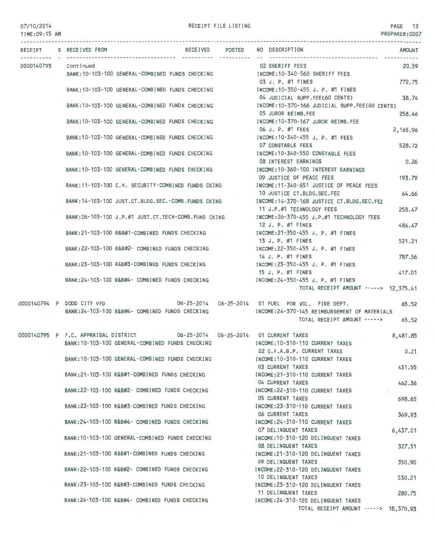| 07/10/2014<br>TIME: 09:15 AM |                            |                                                                             | RECEIPT FILE LISTING |                                                                                        | PAGE 13<br>PREPARER: 0007 |
|------------------------------|----------------------------|-----------------------------------------------------------------------------|----------------------|----------------------------------------------------------------------------------------|---------------------------|
|                              | RECEIPT S RECEIVED FROM    |                                                                             | RECEIVED POSTED      | NO DESCRIPTION                                                                         | <b>AMOUNT</b>             |
| --------- -                  |                            |                                                                             |                      | 02 SHERIFF FEES                                                                        |                           |
| 0000140793 Continued         |                            | BANK: 10-103-100 GENERAL-COMBINED FUNDS CHECKING                            |                      | INCOME:10-340-560 SHERIFF FEES                                                         | 20.59                     |
|                              |                            |                                                                             |                      | 03 J. P. #1 FINES                                                                      | 772.75                    |
|                              |                            | BANK:10-103-100 GENERAL-COMBINED FUNDS CHECKING                             |                      | INCOME:10-350-455 J. P. #1 FINES                                                       |                           |
|                              |                            |                                                                             |                      | 04 JUDICIAL SUPP.FEE(60 CENTS)                                                         | 38.74                     |
|                              |                            | BANK:10-103-100 GENERAL-COMBINED FUNDS CHECKING                             |                      | INCOME:10-370-166 JUDICIAL SUPP.FEE(60 CENTS)                                          |                           |
|                              |                            |                                                                             |                      | 05 JUROR REIMB.FEE                                                                     | 258.46                    |
|                              |                            | BANK: 10-103-100 GENERAL-COMBINED FUNDS CHECKING                            |                      | INCOME:10-370-167 JUROR REIMB.FEE                                                      |                           |
|                              |                            |                                                                             |                      | 06 J. P. #1 FEES                                                                       | 2,165.96                  |
|                              |                            | BANK:10-103-100 GENERAL-COMBINED FUNDS CHECKING                             |                      | INCOME:10-340-455 J. P. #1 FEES                                                        |                           |
|                              |                            | BANK:10-103-100 GENERAL-COMBINED FUNDS CHECKING                             |                      | 07 CONSTABLE FEES<br>INCOME:10-340-550 CONSTABLE FEES                                  | 528,72                    |
|                              |                            |                                                                             |                      | 08 INTEREST EARNINGS                                                                   | 0.26                      |
|                              |                            | BANK:10-103-100 GENERAL-COMBINED FUNDS CHECKING                             |                      | INCOME: 10-360-100 INTEREST EARNINGS                                                   |                           |
|                              |                            |                                                                             |                      | 09 JUSTICE OF PEACE FEES                                                               | 193.79                    |
|                              |                            | BANK:11-103-100 C.H. SECURITY-COMBINED FUNDS CKING                          |                      | INCOME:11-340-651 JUSTICE OF PEACE FEES                                                |                           |
|                              |                            |                                                                             |                      | 10 JUSTICE CT.BLDG.SEC.FEE                                                             | 64.66                     |
|                              |                            | BANK:14-103-100 JUST.CT.BLDG.SEC.-COMB.FUNDS CKING                          |                      | INCOME: 14-370-168 JUSTICE CT.BLDG.SEC.FEE                                             |                           |
|                              |                            |                                                                             |                      | 11 J.P.#1 TECHNOLOGY FEES                                                              | 258.47                    |
|                              |                            | BANK:26-103-100 J.P.#1 JUST.CT.TECH-COMB.FUND CKING                         |                      | INCOME: 26-370-455 J.P.#1 TECHNOLOGY FEES                                              |                           |
|                              |                            |                                                                             |                      | 12 J. P. #1 FINES                                                                      | 486.47                    |
|                              |                            | BANK:21-103-100 R&B#1-COMBINED FUNDS CHECKING                               |                      | INCOME:21-350-455 J. P. #1 FINES                                                       |                           |
|                              |                            |                                                                             |                      | 13 J. P. #1 FINES                                                                      | 521.21                    |
|                              |                            | BANK:22-103-100 R&B#2- COMBINED FUNDS CHECKING                              |                      | INCOME:22-350-455 J. P. #1 FINES<br>14 J. P. #1 FINES                                  | 787.56                    |
|                              |                            | BANK:23-103-100 R&B#3-COMBINED FUNDS CHECKING                               |                      | INCOME:23-350-455 J. P. #1 FINES                                                       |                           |
|                              |                            |                                                                             |                      | 15 J. P. #1 FINES                                                                      | 417.01                    |
|                              |                            | BANK:24-103-100 R&B#4- COMBINED FUNDS CHECKING                              |                      | INCOME:24-350-455 J. P. #1 FINES                                                       |                           |
|                              |                            |                                                                             |                      | TOTAL RECEIPT AMOUNT -----> 12,375.41                                                  |                           |
|                              | 0000140794 P DODD CITY VFD |                                                                             |                      |                                                                                        | 65.52                     |
|                              |                            | BANK:24-103-100 R&B#4- COMBINED FUNDS CHECKING                              |                      | INCOME:24-370-145 REIMBURSEMENT OF MATERIALS                                           |                           |
|                              |                            |                                                                             |                      | TOTAL RECEIPT AMOUNT -----> 65.52                                                      |                           |
|                              |                            |                                                                             |                      |                                                                                        |                           |
|                              |                            | 0000140795 P F.C. APPRAISAL DISTRICT 06-25-2014 06-25-2014 01 CURRENT TAXES |                      |                                                                                        | 8,481.85                  |
|                              |                            |                                                                             |                      | BANK:10-103-100 GENERAL-COMBINED FUNDS CHECKING THEORY INCOME:10-310-110 CURRENT TAXES |                           |
|                              |                            |                                                                             |                      | 02 G.F.A.B.P. CURRENT TAXES                                                            | 0.21                      |
|                              |                            | BANK:10-103-100 GENERAL-COMBINED FUNDS CHECKING                             |                      | INCOME: 10-310-110 CURRENT TAXES                                                       |                           |
|                              |                            | BANK:21-103-100 R&B#1-COMBINED FUNDS CHECKING                               |                      | 03 CURRENT TAXES<br>INCOME:21-310-110 CURRENT TAXES                                    | 431.55                    |
|                              |                            |                                                                             |                      | 04 CURRENT TAXES                                                                       | 462.36                    |
|                              |                            | BANK:22-103-100 R&B#2- COMBINED FUNDS CHECKING                              |                      | INCOME: 22-310-110 CURRENT TAXES                                                       |                           |
|                              |                            |                                                                             |                      | 05 CURRENT TAXES                                                                       | 698.65                    |
|                              |                            | BANK:23-103-100 R&B#3-COMBINED FUNDS CHECKING                               |                      | INCOME: 23-310-110 CURRENT TAXES                                                       |                           |
|                              |                            |                                                                             |                      | 06 CURRENT TAXES                                                                       | 369.93                    |
|                              |                            | BANK:24-103-100 R&B#4- COMBINED FUNDS CHECKING                              |                      | INCOME: 24-310-110 CURRENT TAXES                                                       |                           |
|                              |                            |                                                                             |                      | 07 DELINQUENT TAXES                                                                    | 6,437.01                  |
|                              |                            | BANK: 10-103-100 GENERAL-COMBINED FUNDS CHECKING                            |                      | INCOME: 10-310-120 DELINQUENT TAXES                                                    |                           |
|                              |                            |                                                                             |                      | 08 DELINQUENT TAXES                                                                    | 327.51                    |
|                              |                            | BANK:21-103-100 R&B#1-COMBINED FUNDS CHECKING                               |                      | INCOME:21-310-120 DELINQUENT TAXES<br>09 DELINQUENT TAXES                              |                           |
|                              |                            | BANK:22-103-100 R&B#2- COMBINED FUNDS CHECKING                              |                      | INCOME:22-310-120 DELINQUENT TAXES                                                     | 350.90                    |
|                              |                            |                                                                             |                      | 10 DELINQUENT TAXES                                                                    | 530.21                    |
|                              |                            | BANK:23-103-100 R&B#3-COMBINED FUNDS CHECKING                               |                      | INCOME: 23-310-120 DELINQUENT TAXES                                                    |                           |
|                              |                            |                                                                             |                      | 11 DELINQUENT TAXES                                                                    | 280.75                    |
|                              |                            | BANK:24-103-100 R&B#4- COMBINED FUNDS CHECKING                              |                      | INCOME:24-310-120 DELINQUENT TAXES                                                     |                           |
|                              |                            |                                                                             |                      | TOTAL RECEIPT AMOUNT -----> 18,370.93                                                  |                           |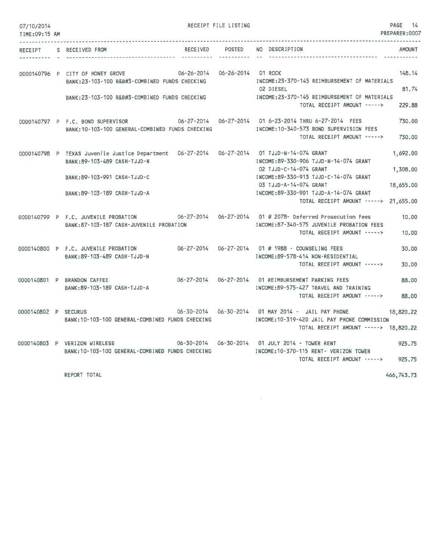| 07/10/2014<br>TIME: 09:15 AM |                                                                                                                                             |          | RECEIPT FILE LISTING          |                                                                                                                                                                                          | PAGE 14<br>PREPARER: 0007         |
|------------------------------|---------------------------------------------------------------------------------------------------------------------------------------------|----------|-------------------------------|------------------------------------------------------------------------------------------------------------------------------------------------------------------------------------------|-----------------------------------|
| RECEIPT                      | S RECEIVED FROM                                                                                                                             | RECEIVED | <b>POSTED</b>                 | NO DESCRIPTION                                                                                                                                                                           | <b>AMOUNT</b>                     |
|                              | 0000140796 P CITY OF HONEY GROVE<br>BANK: 23-103-100 R&B#3-COMBINED FUNDS CHECKING<br>BANK: 23-103-100 R&B#3-COMBINED FUNDS CHECKING        |          | 06-26-2014 06-26-2014 01 ROCK | INCOME: 23-370-145 REIMBURSEMENT OF MATERIALS<br>02 DIESEL<br>INCOME: 23-370-145 REIMBURSEMENT OF MATERIALS<br>TOTAL RECEIPT AMOUNT ----->                                               | 148.14<br>81.74<br>229.88         |
|                              | 0000140797 P F.C. BOND SUPERVISOR<br>BANK: 10-103-100 GENERAL-COMBINED FUNDS CHECKING                                                       |          |                               | 06-27-2014   06-27-2014   01 6-23-2014   THRU 6-27-2014   FEES<br>INCOME: 10-340-573 BOND SUPERVISION FEES<br>TOTAL RECEIPT AMOUNT ----->                                                | 730.00<br>730.00                  |
|                              | 0000140798 P TEXAS Juvenile Justice Department<br>BANK: 89-103-489 CASH-TJJD-N<br>BANK: 89-103-991 CASH-TJJD-C                              |          |                               | 06-27-2014   06-27-2014   01 TJJD-N-14-074 GRANT<br>INCOME: 89-330-906 TJJD-N-14-074 GRANT<br>02 TJJD-C-14-074 GRANT<br>INCOME: 89-330-913 TJJD-C-14-074 GRANT<br>03 TJJD-A-14-074 GRANT | 1,692.00<br>1,308.00<br>18,655.00 |
|                              | BANK: 89-103-189 CASH-TJJD-A                                                                                                                |          |                               | INCOME: 89-330-901 TJJD-A-14-074 GRANT<br>TOTAL RECEIPT AMOUNT -----> 21,655.00                                                                                                          |                                   |
|                              | 0000140799 P F.C. JUVENILE PROBATION 06-27-2014 06-27-2014 01 # 2078- Deferred Prosecution Fees<br>BANK: 87-103-187 CASH-JUVENILE PROBATION |          |                               | INCOME:87-340-575 JUVENILE PROBATION FEES<br>TOTAL RECEIPT AMOUNT ----->                                                                                                                 | 10.00<br>10.00                    |
|                              | 0000140800 P F.C. JUVENILE PROBATION<br>BANK: 89-103-489 CASH-TJJD-N                                                                        |          |                               | 06-27-2014  06-27-2014  01 # 1988 - COUNSELING FEES<br>INCOME: 89-578-414 NON-RESIDENTIAL<br>TOTAL RECEIPT AMOUNT ----->                                                                 | 30.00<br>30.00                    |
|                              | 0000140801 P BRANDON CAFFEE<br>BANK: 89-103-189 CASH-TJJD-A                                                                                 |          | 06-27-2014 06-27-2014         | 01 REIMBURSEMENT PARKING FEES<br>INCOME:89-575-427 TRAVEL AND TRAINING<br>TOTAL RECEIPT AMOUNT ----->                                                                                    | 88.00<br>88.00                    |
| 0000140802 P SECURUS         | BANK: 10-103-100 GENERAL-COMBINED FUNDS CHECKING                                                                                            |          |                               | 06-30-2014  06-30-2014  01 MAY 2014 - JAIL PAY PHONE<br>INCOME:10-319-420 JAIL PAY PHONE COMMISSION<br>TOTAL RECEIPT AMOUNT -----> 18,820.22                                             | 18,820.22                         |
|                              | 0000140803 P VERIZON WIRELESS<br>BANK: 10-103-100 GENERAL-COMBINED FUNDS CHECKING                                                           |          |                               | 06-30-2014    06-30-2014    01    JULY    2014 - TOWER RENT<br>INCOME:10-370-115 RENT- VERIZON TOWER<br>TOTAL RECEIPT AMOUNT ----->                                                      | 925.75<br>925.75                  |

 $\sim 10^{-1}$ 

REPORT TOTAL

466,743.73